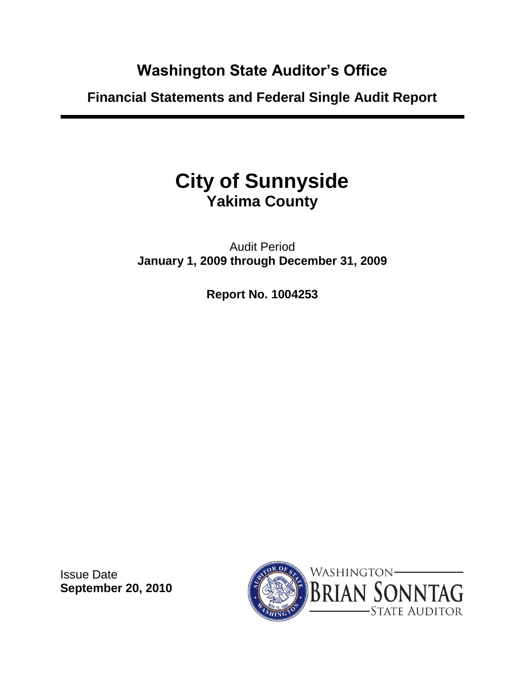## **Washington State Auditor's Office**

**Financial Statements and Federal Single Audit Report**

## **City of Sunnyside Yakima County**

Audit Period **January 1, 2009 through December 31, 2009**

**Report No. 1004253**

Issue Date **September 20, 2010**

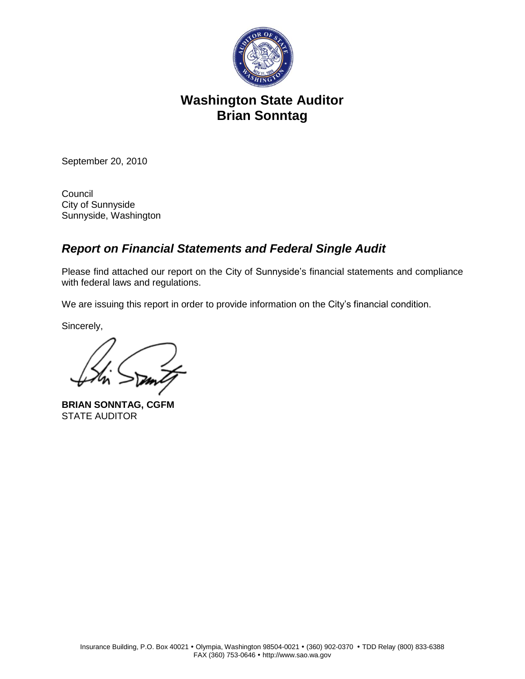

## **Washington State Auditor Brian Sonntag**

September 20, 2010

Council City of Sunnyside Sunnyside, Washington

### *Report on Financial Statements and Federal Single Audit*

Please find attached our report on the City of Sunnyside's financial statements and compliance with federal laws and regulations.

We are issuing this report in order to provide information on the City's financial condition.

Sincerely,

**BRIAN SONNTAG, CGFM** STATE AUDITOR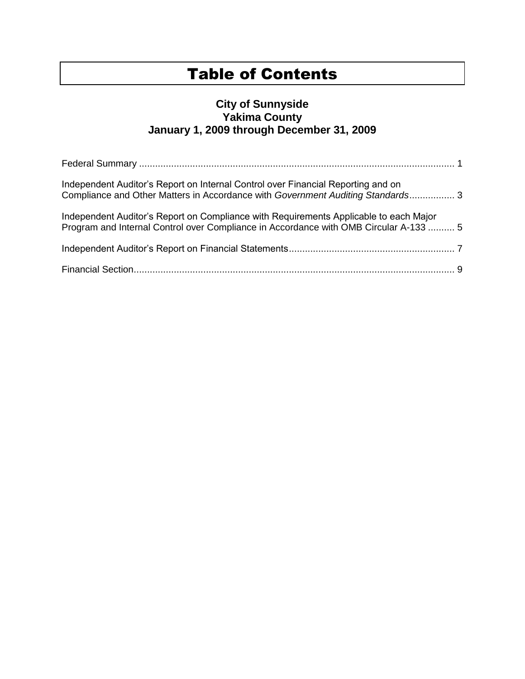## Table of Contents

#### **City of Sunnyside Yakima County January 1, 2009 through December 31, 2009**

| Independent Auditor's Report on Internal Control over Financial Reporting and on<br>Compliance and Other Matters in Accordance with Government Auditing Standards 3            |  |
|--------------------------------------------------------------------------------------------------------------------------------------------------------------------------------|--|
| Independent Auditor's Report on Compliance with Requirements Applicable to each Major<br>Program and Internal Control over Compliance in Accordance with OMB Circular A-133  5 |  |
|                                                                                                                                                                                |  |
|                                                                                                                                                                                |  |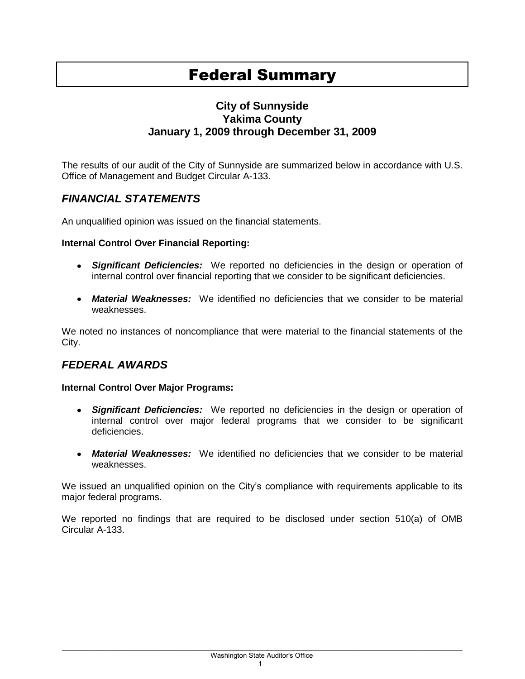## Federal Summary

#### **City of Sunnyside Yakima County January 1, 2009 through December 31, 2009**

The results of our audit of the City of Sunnyside are summarized below in accordance with U.S. Office of Management and Budget Circular A-133.

#### *FINANCIAL STATEMENTS*

An unqualified opinion was issued on the financial statements.

#### **Internal Control Over Financial Reporting:**

- *Significant Deficiencies:* We reported no deficiencies in the design or operation of internal control over financial reporting that we consider to be significant deficiencies.
- *Material Weaknesses:* We identified no deficiencies that we consider to be material weaknesses.

We noted no instances of noncompliance that were material to the financial statements of the City.

#### *FEDERAL AWARDS*

#### **Internal Control Over Major Programs:**

- *Significant Deficiencies:* We reported no deficiencies in the design or operation of internal control over major federal programs that we consider to be significant deficiencies.
- *Material Weaknesses:* We identified no deficiencies that we consider to be material weaknesses.

We issued an unqualified opinion on the City's compliance with requirements applicable to its major federal programs.

We reported no findings that are required to be disclosed under section 510(a) of OMB Circular A-133.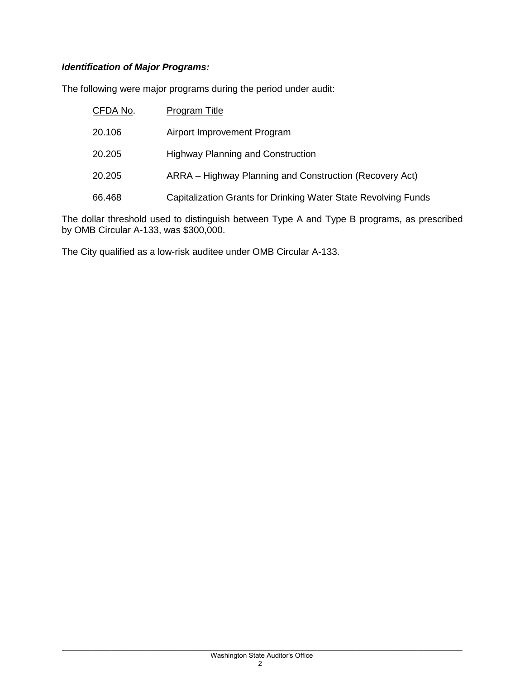#### *Identification of Major Programs:*

The following were major programs during the period under audit:

| CFDA No. | Program Title                                                  |
|----------|----------------------------------------------------------------|
| 20.106   | Airport Improvement Program                                    |
| 20.205   | <b>Highway Planning and Construction</b>                       |
| 20.205   | ARRA – Highway Planning and Construction (Recovery Act)        |
| 66.468   | Capitalization Grants for Drinking Water State Revolving Funds |

The dollar threshold used to distinguish between Type A and Type B programs, as prescribed by OMB Circular A-133, was \$300,000.

The City qualified as a low-risk auditee under OMB Circular A-133.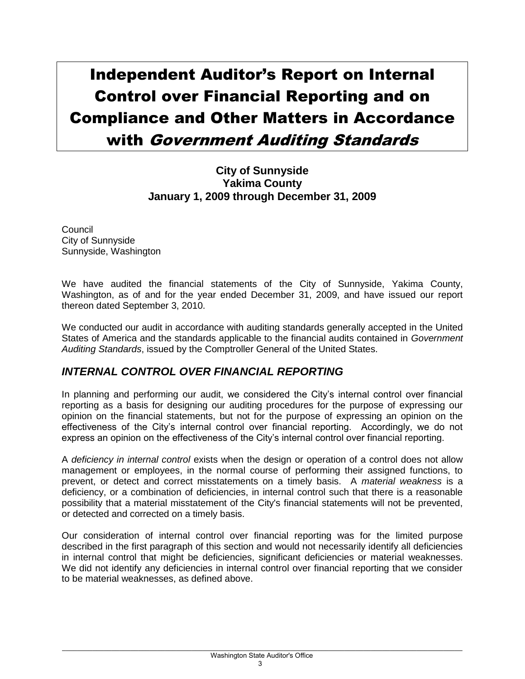## Independent Auditor's Report on Internal Control over Financial Reporting and on Compliance and Other Matters in Accordance with Government Auditing Standards

#### **City of Sunnyside Yakima County January 1, 2009 through December 31, 2009**

Council City of Sunnyside Sunnyside, Washington

We have audited the financial statements of the City of Sunnyside, Yakima County, Washington, as of and for the year ended December 31, 2009, and have issued our report thereon dated September 3, 2010.

We conducted our audit in accordance with auditing standards generally accepted in the United States of America and the standards applicable to the financial audits contained in *Government Auditing Standards*, issued by the Comptroller General of the United States.

#### *INTERNAL CONTROL OVER FINANCIAL REPORTING*

In planning and performing our audit, we considered the City's internal control over financial reporting as a basis for designing our auditing procedures for the purpose of expressing our opinion on the financial statements, but not for the purpose of expressing an opinion on the effectiveness of the City's internal control over financial reporting. Accordingly, we do not express an opinion on the effectiveness of the City's internal control over financial reporting.

A *deficiency in internal control* exists when the design or operation of a control does not allow management or employees, in the normal course of performing their assigned functions, to prevent, or detect and correct misstatements on a timely basis. A *material weakness* is a deficiency, or a combination of deficiencies, in internal control such that there is a reasonable possibility that a material misstatement of the City's financial statements will not be prevented, or detected and corrected on a timely basis.

Our consideration of internal control over financial reporting was for the limited purpose described in the first paragraph of this section and would not necessarily identify all deficiencies in internal control that might be deficiencies, significant deficiencies or material weaknesses. We did not identify any deficiencies in internal control over financial reporting that we consider to be material weaknesses, as defined above.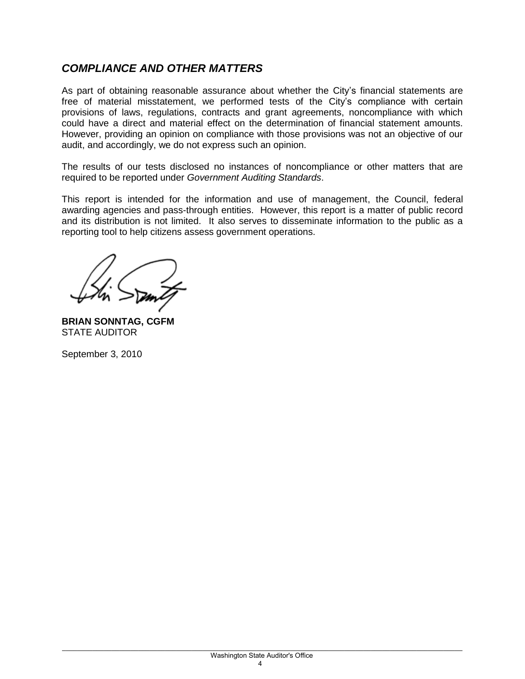#### *COMPLIANCE AND OTHER MATTERS*

As part of obtaining reasonable assurance about whether the City's financial statements are free of material misstatement, we performed tests of the City's compliance with certain provisions of laws, regulations, contracts and grant agreements, noncompliance with which could have a direct and material effect on the determination of financial statement amounts. However, providing an opinion on compliance with those provisions was not an objective of our audit, and accordingly, we do not express such an opinion.

The results of our tests disclosed no instances of noncompliance or other matters that are required to be reported under *Government Auditing Standards*.

This report is intended for the information and use of management, the Council, federal awarding agencies and pass-through entities. However, this report is a matter of public record and its distribution is not limited. It also serves to disseminate information to the public as a reporting tool to help citizens assess government operations.

**BRIAN SONNTAG, CGFM**  STATE AUDITOR

September 3, 2010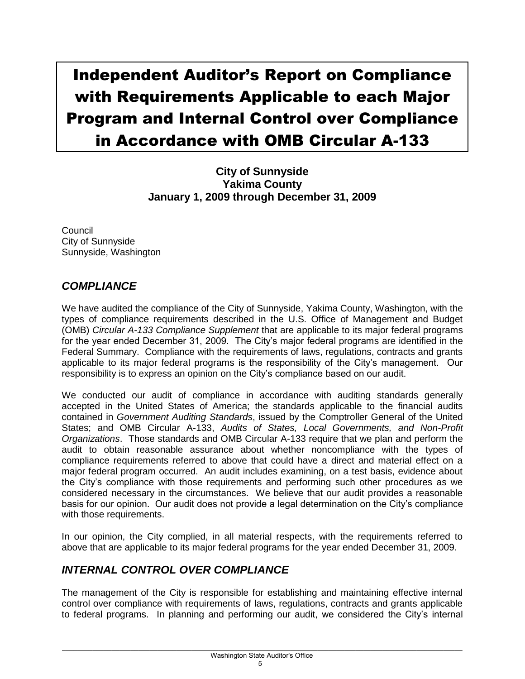## Independent Auditor's Report on Compliance with Requirements Applicable to each Major Program and Internal Control over Compliance in Accordance with OMB Circular A-133

#### **City of Sunnyside Yakima County January 1, 2009 through December 31, 2009**

**Council** City of Sunnyside Sunnyside, Washington

#### *COMPLIANCE*

We have audited the compliance of the City of Sunnyside, Yakima County, Washington, with the types of compliance requirements described in the U.S. Office of Management and Budget (OMB) *Circular A-133 Compliance Supplement* that are applicable to its major federal programs for the year ended December 31, 2009. The City's major federal programs are identified in the Federal Summary. Compliance with the requirements of laws, regulations, contracts and grants applicable to its major federal programs is the responsibility of the City's management. Our responsibility is to express an opinion on the City's compliance based on our audit.

We conducted our audit of compliance in accordance with auditing standards generally accepted in the United States of America; the standards applicable to the financial audits contained in *Government Auditing Standards*, issued by the Comptroller General of the United States; and OMB Circular A-133, *Audits of States, Local Governments, and Non-Profit Organizations*. Those standards and OMB Circular A-133 require that we plan and perform the audit to obtain reasonable assurance about whether noncompliance with the types of compliance requirements referred to above that could have a direct and material effect on a major federal program occurred. An audit includes examining, on a test basis, evidence about the City's compliance with those requirements and performing such other procedures as we considered necessary in the circumstances. We believe that our audit provides a reasonable basis for our opinion. Our audit does not provide a legal determination on the City's compliance with those requirements.

In our opinion, the City complied, in all material respects, with the requirements referred to above that are applicable to its major federal programs for the year ended December 31, 2009.

#### *INTERNAL CONTROL OVER COMPLIANCE*

The management of the City is responsible for establishing and maintaining effective internal control over compliance with requirements of laws, regulations, contracts and grants applicable to federal programs. In planning and performing our audit, we considered the City's internal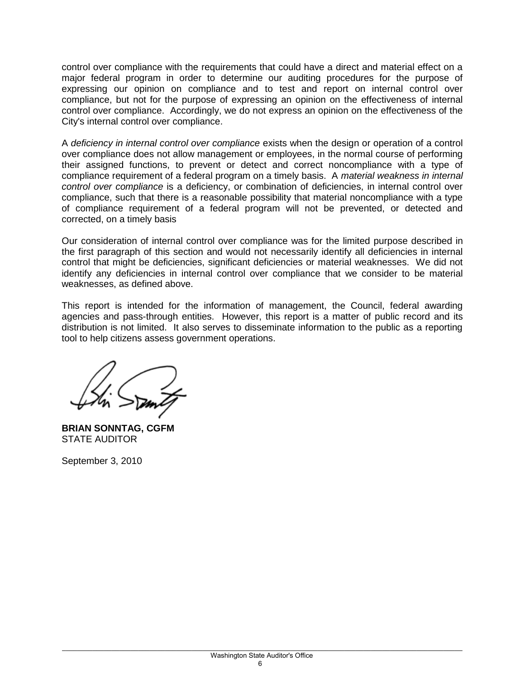control over compliance with the requirements that could have a direct and material effect on a major federal program in order to determine our auditing procedures for the purpose of expressing our opinion on compliance and to test and report on internal control over compliance, but not for the purpose of expressing an opinion on the effectiveness of internal control over compliance. Accordingly, we do not express an opinion on the effectiveness of the City's internal control over compliance.

A *deficiency in internal control over compliance* exists when the design or operation of a control over compliance does not allow management or employees, in the normal course of performing their assigned functions, to prevent or detect and correct noncompliance with a type of compliance requirement of a federal program on a timely basis. A *material weakness in internal control over compliance* is a deficiency, or combination of deficiencies, in internal control over compliance, such that there is a reasonable possibility that material noncompliance with a type of compliance requirement of a federal program will not be prevented, or detected and corrected, on a timely basis

Our consideration of internal control over compliance was for the limited purpose described in the first paragraph of this section and would not necessarily identify all deficiencies in internal control that might be deficiencies, significant deficiencies or material weaknesses. We did not identify any deficiencies in internal control over compliance that we consider to be material weaknesses, as defined above.

This report is intended for the information of management, the Council, federal awarding agencies and pass-through entities. However, this report is a matter of public record and its distribution is not limited. It also serves to disseminate information to the public as a reporting tool to help citizens assess government operations.

**BRIAN SONNTAG, CGFM**  STATE AUDITOR

September 3, 2010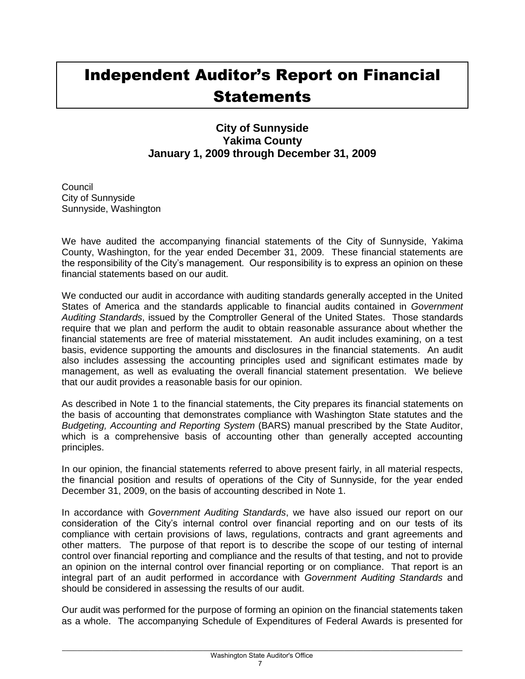## Independent Auditor's Report on Financial **Statements**

#### **City of Sunnyside Yakima County January 1, 2009 through December 31, 2009**

**Council** City of Sunnyside Sunnyside, Washington

We have audited the accompanying financial statements of the City of Sunnyside, Yakima County, Washington, for the year ended December 31, 2009. These financial statements are the responsibility of the City's management. Our responsibility is to express an opinion on these financial statements based on our audit.

We conducted our audit in accordance with auditing standards generally accepted in the United States of America and the standards applicable to financial audits contained in *Government Auditing Standards*, issued by the Comptroller General of the United States. Those standards require that we plan and perform the audit to obtain reasonable assurance about whether the financial statements are free of material misstatement. An audit includes examining, on a test basis, evidence supporting the amounts and disclosures in the financial statements. An audit also includes assessing the accounting principles used and significant estimates made by management, as well as evaluating the overall financial statement presentation. We believe that our audit provides a reasonable basis for our opinion.

As described in Note 1 to the financial statements, the City prepares its financial statements on the basis of accounting that demonstrates compliance with Washington State statutes and the *Budgeting, Accounting and Reporting System* (BARS) manual prescribed by the State Auditor, which is a comprehensive basis of accounting other than generally accepted accounting principles.

In our opinion, the financial statements referred to above present fairly, in all material respects, the financial position and results of operations of the City of Sunnyside, for the year ended December 31, 2009, on the basis of accounting described in Note 1.

In accordance with *Government Auditing Standards*, we have also issued our report on our consideration of the City's internal control over financial reporting and on our tests of its compliance with certain provisions of laws, regulations, contracts and grant agreements and other matters. The purpose of that report is to describe the scope of our testing of internal control over financial reporting and compliance and the results of that testing, and not to provide an opinion on the internal control over financial reporting or on compliance. That report is an integral part of an audit performed in accordance with *Government Auditing Standards* and should be considered in assessing the results of our audit.

Our audit was performed for the purpose of forming an opinion on the financial statements taken as a whole. The accompanying Schedule of Expenditures of Federal Awards is presented for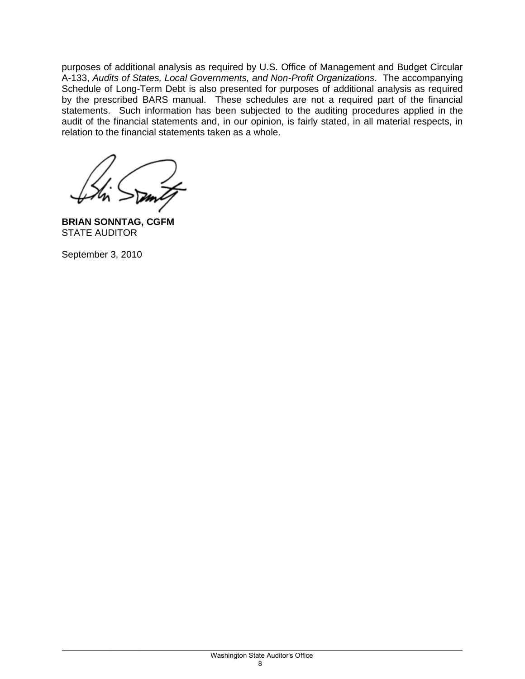purposes of additional analysis as required by U.S. Office of Management and Budget Circular A-133, *Audits of States, Local Governments, and Non-Profit Organizations*. The accompanying Schedule of Long-Term Debt is also presented for purposes of additional analysis as required by the prescribed BARS manual. These schedules are not a required part of the financial statements. Such information has been subjected to the auditing procedures applied in the audit of the financial statements and, in our opinion, is fairly stated, in all material respects, in relation to the financial statements taken as a whole.

**BRIAN SONNTAG, CGFM**  STATE AUDITOR

September 3, 2010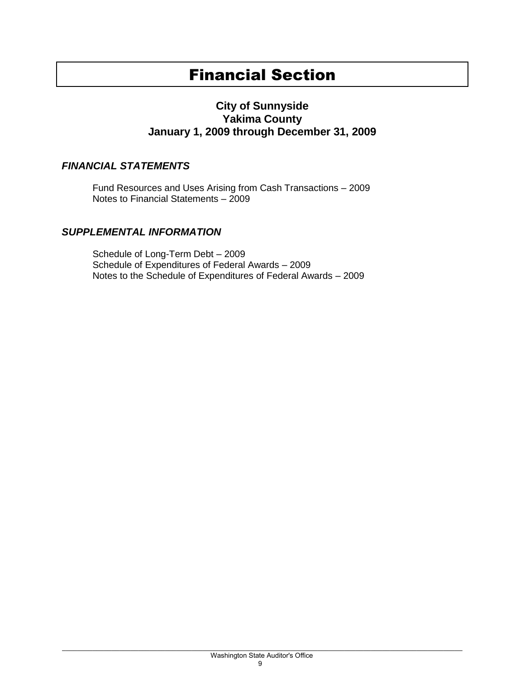## Financial Section

#### **City of Sunnyside Yakima County January 1, 2009 through December 31, 2009**

#### *FINANCIAL STATEMENTS*

Fund Resources and Uses Arising from Cash Transactions – 2009 Notes to Financial Statements – 2009

#### *SUPPLEMENTAL INFORMATION*

Schedule of Long-Term Debt – 2009 Schedule of Expenditures of Federal Awards – 2009 Notes to the Schedule of Expenditures of Federal Awards – 2009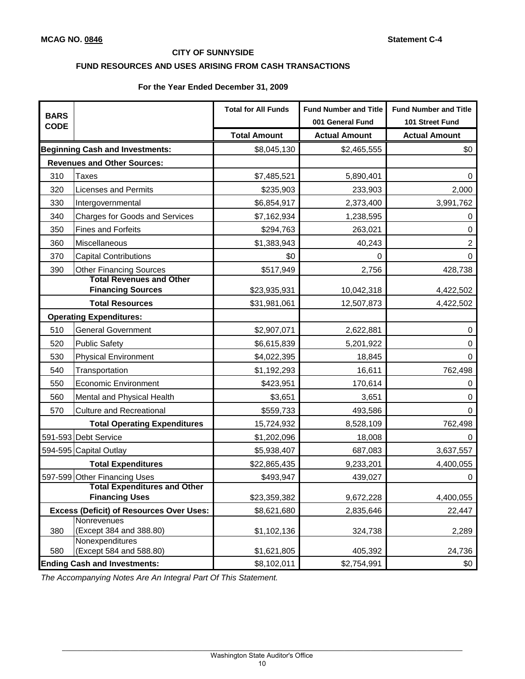#### **FUND RESOURCES AND USES ARISING FROM CASH TRANSACTIONS**

#### **For the Year Ended December 31, 2009**

| <b>BARS</b> |                                                                | <b>Total for All Funds</b> | <b>Fund Number and Title</b> | <b>Fund Number and Title</b> |
|-------------|----------------------------------------------------------------|----------------------------|------------------------------|------------------------------|
| <b>CODE</b> |                                                                |                            | 001 General Fund             | 101 Street Fund              |
|             |                                                                | <b>Total Amount</b>        | <b>Actual Amount</b>         | <b>Actual Amount</b>         |
|             | <b>Beginning Cash and Investments:</b>                         | \$8,045,130                | \$2,465,555                  | \$0                          |
|             | <b>Revenues and Other Sources:</b>                             |                            |                              |                              |
| 310         | <b>Taxes</b>                                                   | \$7,485,521                | 5,890,401                    | $\mathbf 0$                  |
| 320         | <b>Licenses and Permits</b>                                    | \$235,903                  | 233,903                      | 2,000                        |
| 330         | Intergovernmental                                              | \$6,854,917                | 2,373,400                    | 3,991,762                    |
| 340         | <b>Charges for Goods and Services</b>                          | \$7,162,934                | 1,238,595                    | 0                            |
| 350         | <b>Fines and Forfeits</b>                                      | \$294,763                  | 263,021                      | 0                            |
| 360         | Miscellaneous                                                  | \$1,383,943                | 40,243                       | $\boldsymbol{2}$             |
| 370         | <b>Capital Contributions</b>                                   | \$0                        | 0                            | $\mathbf 0$                  |
| 390         | <b>Other Financing Sources</b>                                 | \$517,949                  | 2,756                        | 428,738                      |
|             | <b>Total Revenues and Other</b>                                |                            |                              |                              |
|             | <b>Financing Sources</b>                                       | \$23,935,931               | 10,042,318                   | 4,422,502                    |
|             | <b>Total Resources</b>                                         | \$31,981,061               | 12,507,873                   | 4,422,502                    |
|             | <b>Operating Expenditures:</b>                                 |                            |                              |                              |
| 510         | <b>General Government</b>                                      | \$2,907,071                | 2,622,881                    | 0                            |
| 520         | <b>Public Safety</b>                                           | \$6,615,839                | 5,201,922                    | 0                            |
| 530         | <b>Physical Environment</b>                                    | \$4,022,395                | 18,845                       | 0                            |
| 540         | Transportation                                                 | \$1,192,293                | 16,611                       | 762,498                      |
| 550         | <b>Economic Environment</b>                                    | \$423,951                  | 170,614                      | 0                            |
| 560         | Mental and Physical Health                                     | \$3,651                    | 3,651                        | 0                            |
| 570         | <b>Culture and Recreational</b>                                | \$559,733                  | 493,586                      | $\pmb{0}$                    |
|             | <b>Total Operating Expenditures</b>                            | 15,724,932                 | 8,528,109                    | 762,498                      |
|             | 591-593 Debt Service                                           | \$1,202,096                | 18,008                       | 0                            |
|             | 594-595 Capital Outlay                                         | \$5,938,407                | 687,083                      | 3,637,557                    |
|             | <b>Total Expenditures</b>                                      | \$22,865,435               | 9,233,201                    | 4,400,055                    |
|             | 597-599 Other Financing Uses                                   | \$493,947                  | 439,027                      | 0                            |
|             | Total Expenditures and Other                                   |                            |                              |                              |
|             | <b>Financing Uses</b>                                          | \$23,359,382               | 9,672,228                    | 4,400,055                    |
|             | <b>Excess (Deficit) of Resources Over Uses:</b><br>Nonrevenues | \$8,621,680                | 2,835,646                    | 22,447                       |
| 380         | (Except 384 and 388.80)                                        | \$1,102,136                | 324,738                      | 2,289                        |
|             | Nonexpenditures                                                |                            |                              |                              |
| 580         | (Except 584 and 588.80)                                        | \$1,621,805                | 405,392                      | 24,736                       |
|             | <b>Ending Cash and Investments:</b>                            | \$8,102,011                | \$2,754,991                  | \$0                          |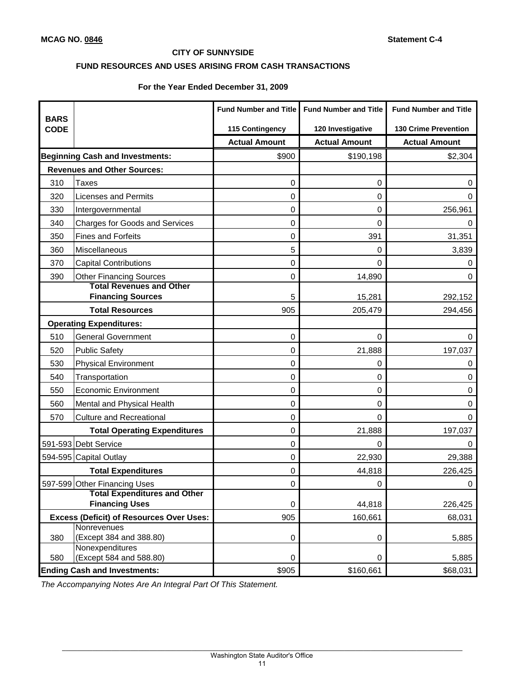#### **FUND RESOURCES AND USES ARISING FROM CASH TRANSACTIONS**

#### **For the Year Ended December 31, 2009**

|                            |                                                              | <b>Fund Number and Title</b> | <b>Fund Number and Title</b> | <b>Fund Number and Title</b> |
|----------------------------|--------------------------------------------------------------|------------------------------|------------------------------|------------------------------|
| <b>BARS</b><br><b>CODE</b> |                                                              | 115 Contingency              | 120 Investigative            | <b>130 Crime Prevention</b>  |
|                            |                                                              | <b>Actual Amount</b>         | <b>Actual Amount</b>         | <b>Actual Amount</b>         |
|                            | <b>Beginning Cash and Investments:</b>                       | \$900                        | \$190,198                    | \$2,304                      |
|                            | <b>Revenues and Other Sources:</b>                           |                              |                              |                              |
| 310                        | <b>Taxes</b>                                                 | $\pmb{0}$                    | 0                            | 0                            |
| 320                        | <b>Licenses and Permits</b>                                  | 0                            | 0                            | $\mathbf 0$                  |
| 330                        | Intergovernmental                                            | 0                            | 0                            | 256,961                      |
| 340                        | <b>Charges for Goods and Services</b>                        | 0                            | 0                            | 0                            |
| 350                        | <b>Fines and Forfeits</b>                                    | 0                            | 391                          | 31,351                       |
| 360                        | Miscellaneous                                                | 5                            | 0                            | 3,839                        |
| 370                        | <b>Capital Contributions</b>                                 | 0                            | $\Omega$                     | 0                            |
| 390                        | <b>Other Financing Sources</b>                               | 0                            | 14,890                       | 0                            |
|                            | <b>Total Revenues and Other</b>                              |                              |                              |                              |
|                            | <b>Financing Sources</b>                                     | 5                            | 15,281                       | 292,152                      |
|                            | <b>Total Resources</b>                                       | 905                          | 205,479                      | 294,456                      |
|                            | <b>Operating Expenditures:</b>                               |                              |                              |                              |
| 510                        | <b>General Government</b>                                    | 0                            | $\Omega$                     | 0                            |
| 520                        | <b>Public Safety</b>                                         | $\pmb{0}$                    | 21,888                       | 197,037                      |
| 530                        | <b>Physical Environment</b>                                  | 0                            | 0                            | 0                            |
| 540                        | Transportation                                               | 0                            | 0                            | $\mathbf 0$                  |
| 550                        | <b>Economic Environment</b>                                  | 0                            | 0                            | 0                            |
| 560                        | Mental and Physical Health                                   | $\pmb{0}$                    | 0                            | 0                            |
| 570                        | <b>Culture and Recreational</b>                              | $\pmb{0}$                    | $\Omega$                     | 0                            |
|                            | <b>Total Operating Expenditures</b>                          | 0                            | 21,888                       | 197,037                      |
|                            | 591-593 Debt Service                                         | 0                            | 0                            | 0                            |
|                            | 594-595 Capital Outlay                                       | 0                            | 22,930                       | 29,388                       |
|                            | <b>Total Expenditures</b>                                    | 0                            | 44,818                       | 226,425                      |
|                            | 597-599 Other Financing Uses                                 | 0                            | 0                            | 0                            |
|                            | <b>Total Expenditures and Other</b><br><b>Financing Uses</b> | 0                            | 44,818                       | 226,425                      |
|                            | <b>Excess (Deficit) of Resources Over Uses:</b>              | 905                          | 160,661                      | 68,031                       |
|                            | Nonrevenues                                                  |                              |                              |                              |
| 380                        | (Except 384 and 388.80)                                      | 0                            | 0                            | 5,885                        |
| 580                        | Nonexpenditures<br>(Except 584 and 588.80)                   | $\pmb{0}$                    | 0                            | 5,885                        |
|                            | <b>Ending Cash and Investments:</b>                          | \$905                        | \$160,661                    | \$68,031                     |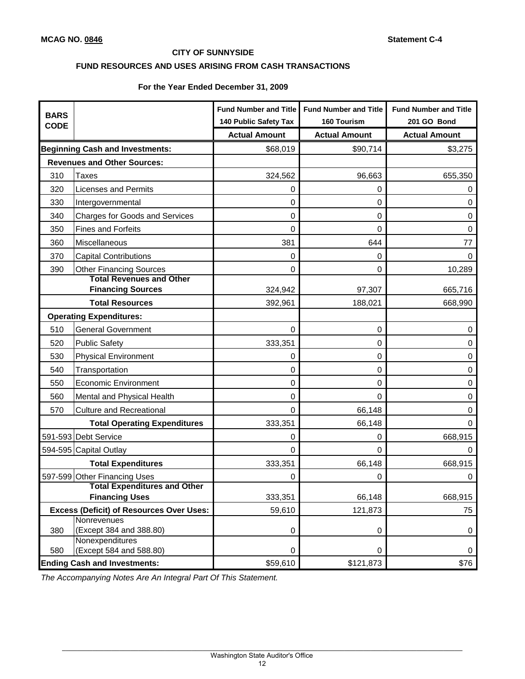#### **FUND RESOURCES AND USES ARISING FROM CASH TRANSACTIONS**

#### **For the Year Ended December 31, 2009**

| <b>BARS</b> |                                                                | <b>Fund Number and Title</b> | <b>Fund Number and Title</b> | <b>Fund Number and Title</b> |
|-------------|----------------------------------------------------------------|------------------------------|------------------------------|------------------------------|
| <b>CODE</b> |                                                                | 140 Public Safety Tax        | 160 Tourism                  | 201 GO Bond                  |
|             |                                                                | <b>Actual Amount</b>         | <b>Actual Amount</b>         | <b>Actual Amount</b>         |
|             | <b>Beginning Cash and Investments:</b>                         | \$68,019                     | \$90,714                     | \$3,275                      |
|             | <b>Revenues and Other Sources:</b>                             |                              |                              |                              |
| 310         | <b>Taxes</b>                                                   | 324,562                      | 96,663                       | 655,350                      |
| 320         | <b>Licenses and Permits</b>                                    | 0                            | 0                            | 0                            |
| 330         | Intergovernmental                                              | 0                            | 0                            | $\mathbf 0$                  |
| 340         | <b>Charges for Goods and Services</b>                          | 0                            | 0                            | 0                            |
| 350         | <b>Fines and Forfeits</b>                                      | 0                            | 0                            | 0                            |
| 360         | Miscellaneous                                                  | 381                          | 644                          | 77                           |
| 370         | <b>Capital Contributions</b>                                   | 0                            | 0                            | $\mathbf 0$                  |
| 390         | Other Financing Sources                                        | 0                            | 0                            | 10,289                       |
|             | <b>Total Revenues and Other</b>                                |                              |                              |                              |
|             | <b>Financing Sources</b>                                       | 324,942                      | 97,307                       | 665,716                      |
|             | <b>Total Resources</b>                                         | 392,961                      | 188,021                      | 668,990                      |
|             | <b>Operating Expenditures:</b>                                 |                              |                              |                              |
| 510         | <b>General Government</b>                                      | 0                            | 0                            | 0                            |
| 520         | <b>Public Safety</b>                                           | 333,351                      | 0                            | 0                            |
| 530         | <b>Physical Environment</b>                                    | 0                            | 0                            | $\pmb{0}$                    |
| 540         | Transportation                                                 | 0                            | 0                            | $\pmb{0}$                    |
| 550         | <b>Economic Environment</b>                                    | 0                            | 0                            | 0                            |
| 560         | Mental and Physical Health                                     | 0                            | $\Omega$                     | $\,0\,$                      |
| 570         | <b>Culture and Recreational</b>                                | 0                            | 66,148                       | 0                            |
|             | <b>Total Operating Expenditures</b>                            | 333,351                      | 66,148                       | 0                            |
|             | 591-593 Debt Service                                           | 0                            | 0                            | 668,915                      |
|             | 594-595 Capital Outlay                                         | 0                            | 0                            | 0                            |
|             | <b>Total Expenditures</b>                                      | 333,351                      | 66,148                       | 668,915                      |
|             | 597-599 Other Financing Uses                                   | 0                            | 0                            | 0                            |
|             | <b>Total Expenditures and Other</b>                            |                              |                              |                              |
|             | <b>Financing Uses</b>                                          | 333,351                      | 66,148                       | 668,915                      |
|             | <b>Excess (Deficit) of Resources Over Uses:</b><br>Nonrevenues | 59,610                       | 121,873                      | 75                           |
| 380         | (Except 384 and 388.80)                                        | $\pmb{0}$                    | 0                            | 0                            |
|             | Nonexpenditures                                                |                              |                              |                              |
| 580         | (Except 584 and 588.80)                                        | 0                            | 0                            | 0                            |
|             | <b>Ending Cash and Investments:</b>                            | \$59,610                     | \$121,873                    | \$76                         |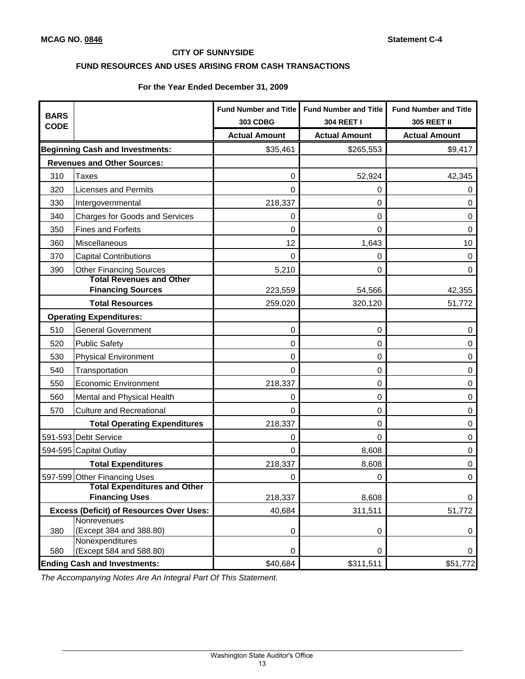#### **FUND RESOURCES AND USES ARISING FROM CASH TRANSACTIONS**

#### **For the Year Ended December 31, 2009**

| <b>BARS</b> |                                                                | <b>Fund Number and Title</b> | <b>Fund Number and Title</b> | <b>Fund Number and Title</b> |
|-------------|----------------------------------------------------------------|------------------------------|------------------------------|------------------------------|
| <b>CODE</b> |                                                                | 303 CDBG                     | 304 REET I                   | 305 REET II                  |
|             |                                                                | <b>Actual Amount</b>         | <b>Actual Amount</b>         | <b>Actual Amount</b>         |
|             | <b>Beginning Cash and Investments:</b>                         | \$35,461                     | \$265,553                    | \$9,417                      |
|             | <b>Revenues and Other Sources:</b>                             |                              |                              |                              |
| 310         | <b>Taxes</b>                                                   | 0                            | 52,924                       | 42,345                       |
| 320         | <b>Licenses and Permits</b>                                    | 0                            | 0                            | 0                            |
| 330         | Intergovernmental                                              | 218,337                      | 0                            | $\pmb{0}$                    |
| 340         | <b>Charges for Goods and Services</b>                          | 0                            | 0                            | $\mathbf 0$                  |
| 350         | <b>Fines and Forfeits</b>                                      | 0                            | 0                            | 0                            |
| 360         | Miscellaneous                                                  | 12                           | 1,643                        | 10                           |
| 370         | <b>Capital Contributions</b>                                   | 0                            | 0                            | 0                            |
| 390         | Other Financing Sources                                        | 5,210                        | 0                            | 0                            |
|             | <b>Total Revenues and Other</b>                                |                              |                              |                              |
|             | <b>Financing Sources</b>                                       | 223,559                      | 54,566                       | 42,355                       |
|             | <b>Total Resources</b>                                         | 259,020                      | 320,120                      | 51,772                       |
|             | <b>Operating Expenditures:</b>                                 |                              |                              |                              |
| 510         | <b>General Government</b>                                      | 0                            | 0                            | 0                            |
| 520         | <b>Public Safety</b>                                           | 0                            | 0                            | 0                            |
| 530         | <b>Physical Environment</b>                                    | 0                            | 0                            | $\pmb{0}$                    |
| 540         | Transportation                                                 | 0                            | 0                            | $\pmb{0}$                    |
| 550         | <b>Economic Environment</b>                                    | 218,337                      | 0                            | $\pmb{0}$                    |
| 560         | Mental and Physical Health                                     | 0                            | 0                            | $\pmb{0}$                    |
| 570         | <b>Culture and Recreational</b>                                | 0                            | 0                            | $\pmb{0}$                    |
|             | <b>Total Operating Expenditures</b>                            | 218,337                      | 0                            | $\pmb{0}$                    |
|             | 591-593 Debt Service                                           | 0                            | 0                            | $\,0\,$                      |
|             | 594-595 Capital Outlay                                         | 0                            | 8,608                        | $\pmb{0}$                    |
|             | <b>Total Expenditures</b>                                      | 218,337                      | 8,608                        | 0                            |
|             | 597-599 Other Financing Uses                                   | 0                            | 0                            | $\pmb{0}$                    |
|             | <b>Total Expenditures and Other</b>                            | 218,337                      | 8,608                        | $\mathbf 0$                  |
|             | <b>Financing Uses</b>                                          |                              |                              |                              |
|             | <b>Excess (Deficit) of Resources Over Uses:</b><br>Nonrevenues | 40,684                       | 311,511                      | 51,772                       |
| 380         | (Except 384 and 388.80)                                        | $\pmb{0}$                    | 0                            | 0                            |
|             | Nonexpenditures                                                |                              |                              |                              |
| 580         | (Except 584 and 588.80)                                        | $\pmb{0}$                    | 0                            | 0                            |
|             | <b>Ending Cash and Investments:</b>                            | \$40,684                     | \$311,511                    | \$51,772                     |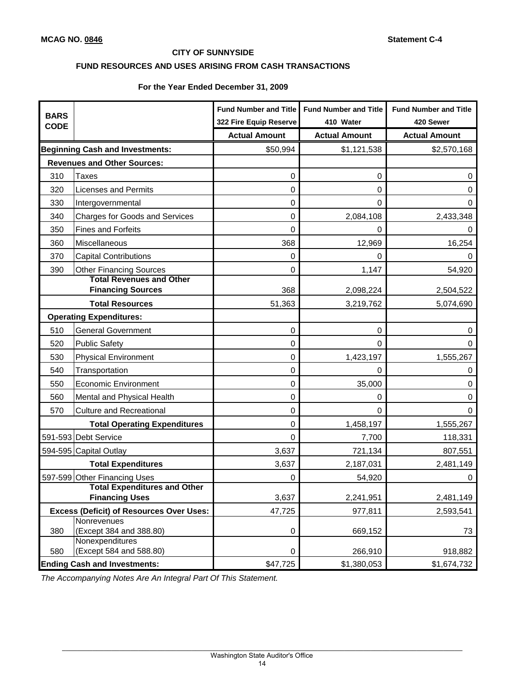#### **FUND RESOURCES AND USES ARISING FROM CASH TRANSACTIONS**

#### **For the Year Ended December 31, 2009**

| <b>BARS</b> |                                                 | <b>Fund Number and Title</b> | <b>Fund Number and Title</b> | <b>Fund Number and Title</b> |
|-------------|-------------------------------------------------|------------------------------|------------------------------|------------------------------|
| <b>CODE</b> |                                                 | 322 Fire Equip Reserve       | 410 Water                    | 420 Sewer                    |
|             |                                                 | <b>Actual Amount</b>         | <b>Actual Amount</b>         | <b>Actual Amount</b>         |
|             | <b>Beginning Cash and Investments:</b>          | \$50,994                     | \$1,121,538                  | \$2,570,168                  |
|             | <b>Revenues and Other Sources:</b>              |                              |                              |                              |
| 310         | <b>Taxes</b>                                    | 0                            | 0                            | $\mathbf 0$                  |
| 320         | <b>Licenses and Permits</b>                     | 0                            | 0                            | 0                            |
| 330         | Intergovernmental                               | 0                            | 0                            | 0                            |
| 340         | <b>Charges for Goods and Services</b>           | $\pmb{0}$                    | 2,084,108                    | 2,433,348                    |
| 350         | <b>Fines and Forfeits</b>                       | 0                            | 0                            | 0                            |
| 360         | Miscellaneous                                   | 368                          | 12,969                       | 16,254                       |
| 370         | <b>Capital Contributions</b>                    | 0                            | 0                            | 0                            |
| 390         | <b>Other Financing Sources</b>                  | 0                            | 1,147                        | 54,920                       |
|             | <b>Total Revenues and Other</b>                 |                              |                              |                              |
|             | <b>Financing Sources</b>                        | 368                          | 2,098,224                    | 2,504,522                    |
|             | <b>Total Resources</b>                          | 51,363                       | 3,219,762                    | 5,074,690                    |
|             | <b>Operating Expenditures:</b>                  |                              |                              |                              |
| 510         | <b>General Government</b>                       | 0                            | 0                            | 0                            |
| 520         | <b>Public Safety</b>                            | 0                            | 0                            | 0                            |
| 530         | <b>Physical Environment</b>                     | 0                            | 1,423,197                    | 1,555,267                    |
| 540         | Transportation                                  | $\pmb{0}$                    | 0                            | 0                            |
| 550         | <b>Economic Environment</b>                     | $\pmb{0}$                    | 35,000                       | 0                            |
| 560         | Mental and Physical Health                      | 0                            | 0                            | 0                            |
| 570         | <b>Culture and Recreational</b>                 | 0                            | 0                            | 0                            |
|             | <b>Total Operating Expenditures</b>             | 0                            | 1,458,197                    | 1,555,267                    |
|             | 591-593 Debt Service                            | $\mathbf 0$                  | 7,700                        | 118,331                      |
|             | 594-595 Capital Outlay                          | 3,637                        | 721,134                      | 807,551                      |
|             | <b>Total Expenditures</b>                       | 3,637                        | 2,187,031                    | 2,481,149                    |
|             | 597-599 Other Financing Uses                    | 0                            | 54,920                       | 0                            |
|             | Total Expenditures and Other                    |                              |                              |                              |
|             | <b>Financing Uses</b>                           | 3,637                        | 2,241,951                    | 2,481,149                    |
|             | <b>Excess (Deficit) of Resources Over Uses:</b> | 47,725                       | 977,811                      | 2,593,541                    |
| 380         | Nonrevenues<br>(Except 384 and 388.80)          | 0                            | 669,152                      | 73                           |
|             | Nonexpenditures                                 |                              |                              |                              |
| 580         | (Except 584 and 588.80)                         | $\pmb{0}$                    | 266,910                      | 918,882                      |
|             | <b>Ending Cash and Investments:</b>             | \$47,725                     | \$1,380,053                  | \$1,674,732                  |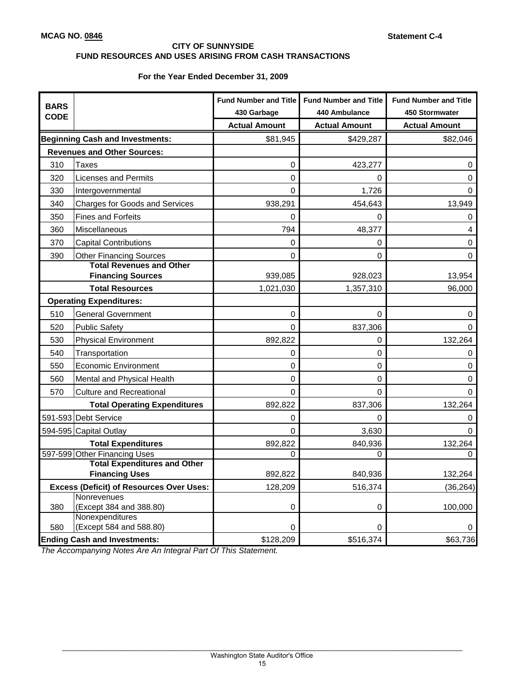#### **CITY OF SUNNYSIDE FUND RESOURCES AND USES ARISING FROM CASH TRANSACTIONS**

#### **For the Year Ended December 31, 2009**

| <b>BARS</b> |                                                                | <b>Fund Number and Title</b> | <b>Fund Number and Title</b> | <b>Fund Number and Title</b> |
|-------------|----------------------------------------------------------------|------------------------------|------------------------------|------------------------------|
| <b>CODE</b> |                                                                | 430 Garbage                  | 440 Ambulance                | <b>450 Stormwater</b>        |
|             |                                                                | <b>Actual Amount</b>         | <b>Actual Amount</b>         | <b>Actual Amount</b>         |
|             | <b>Beginning Cash and Investments:</b>                         | \$81,945                     | \$429,287                    | \$82,046                     |
|             | <b>Revenues and Other Sources:</b>                             |                              |                              |                              |
| 310         | <b>Taxes</b>                                                   | 0                            | 423,277                      | 0                            |
| 320         | <b>Licenses and Permits</b>                                    | 0                            | 0                            | 0                            |
| 330         | Intergovernmental                                              | 0                            | 1,726                        | $\mathbf 0$                  |
| 340         | <b>Charges for Goods and Services</b>                          | 938,291                      | 454,643                      | 13,949                       |
| 350         | <b>Fines and Forfeits</b>                                      | 0                            | 0                            | $\mathbf 0$                  |
| 360         | Miscellaneous                                                  | 794                          | 48,377                       | 4                            |
| 370         | <b>Capital Contributions</b>                                   | 0                            | 0                            | $\mathbf 0$                  |
| 390         | <b>Other Financing Sources</b>                                 | 0                            | 0                            | $\mathbf 0$                  |
|             | <b>Total Revenues and Other</b>                                |                              |                              |                              |
|             | <b>Financing Sources</b>                                       | 939,085                      | 928,023                      | 13,954                       |
|             | <b>Total Resources</b>                                         | 1,021,030                    | 1,357,310                    | 96,000                       |
|             | <b>Operating Expenditures:</b>                                 |                              |                              |                              |
| 510         | <b>General Government</b>                                      | 0                            | 0                            | 0                            |
| 520         | <b>Public Safety</b>                                           | 0                            | 837,306                      | 0                            |
| 530         | <b>Physical Environment</b>                                    | 892,822                      | 0                            | 132,264                      |
| 540         | Transportation                                                 | 0                            | 0                            | 0                            |
| 550         | <b>Economic Environment</b>                                    | 0                            | 0                            | $\mathbf 0$                  |
| 560         | Mental and Physical Health                                     | 0                            | 0                            | 0                            |
| 570         | <b>Culture and Recreational</b>                                | 0                            | 0                            | 0                            |
|             | <b>Total Operating Expenditures</b>                            | 892,822                      | 837,306                      | 132,264                      |
|             | 591-593 Debt Service                                           | 0                            | 0                            | 0                            |
|             | 594-595 Capital Outlay                                         | 0                            | 3,630                        | 0                            |
|             | <b>Total Expenditures</b>                                      | 892,822                      | 840,936                      | 132,264                      |
|             | 597-599 Other Financing Uses                                   | 0                            | U                            | 0                            |
|             | <b>Total Expenditures and Other</b>                            |                              |                              |                              |
|             | <b>Financing Uses</b>                                          | 892,822                      | 840,936                      | 132,264                      |
|             | <b>Excess (Deficit) of Resources Over Uses:</b><br>Nonrevenues | 128,209                      | 516,374                      | (36, 264)                    |
| 380         | Except 384 and 388.80)                                         | 0                            | 0                            | 100,000                      |
|             | Nonexpenditures                                                |                              |                              |                              |
| 580         | (Except 584 and 588.80)                                        | 0                            | 0                            | 0                            |
|             | <b>Ending Cash and Investments:</b>                            | \$128,209                    | \$516,374                    | \$63,736                     |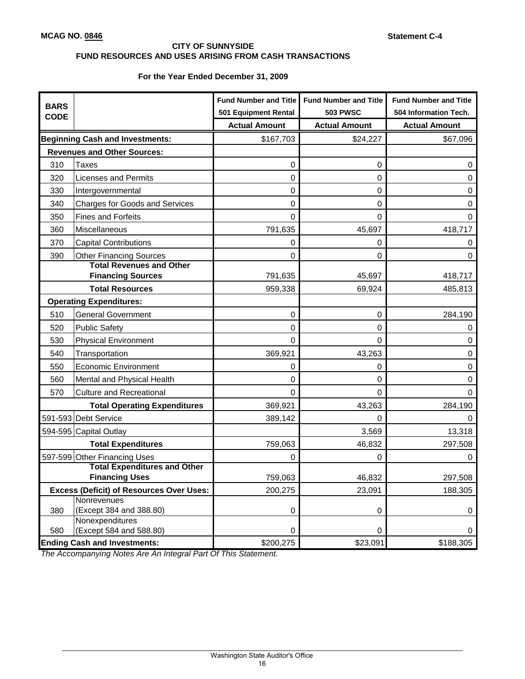#### **CITY OF SUNNYSIDE FUND RESOURCES AND USES ARISING FROM CASH TRANSACTIONS**

#### **For the Year Ended December 31, 2009**

| <b>BARS</b> |                                                                | <b>Fund Number and Title</b> | <b>Fund Number and Title</b> | <b>Fund Number and Title</b> |
|-------------|----------------------------------------------------------------|------------------------------|------------------------------|------------------------------|
| <b>CODE</b> |                                                                | 501 Equipment Rental         | <b>503 PWSC</b>              | 504 Information Tech.        |
|             |                                                                | <b>Actual Amount</b>         | <b>Actual Amount</b>         | <b>Actual Amount</b>         |
|             | <b>Beginning Cash and Investments:</b>                         | \$167,703                    | \$24,227                     | \$67,096                     |
|             | <b>Revenues and Other Sources:</b>                             |                              |                              |                              |
| 310         | <b>Taxes</b>                                                   | 0                            | 0                            | 0                            |
| 320         | <b>Licenses and Permits</b>                                    | 0                            | 0                            | 0                            |
| 330         | Intergovernmental                                              | 0                            | 0                            | 0                            |
| 340         | <b>Charges for Goods and Services</b>                          | 0                            | 0                            | 0                            |
| 350         | <b>Fines and Forfeits</b>                                      | 0                            | 0                            | 0                            |
| 360         | Miscellaneous                                                  | 791,635                      | 45,697                       | 418,717                      |
| 370         | <b>Capital Contributions</b>                                   | 0                            | 0                            | 0                            |
| 390         | <b>Other Financing Sources</b>                                 | 0                            | 0                            | 0                            |
|             | <b>Total Revenues and Other</b>                                |                              |                              |                              |
|             | <b>Financing Sources</b>                                       | 791,635                      | 45,697                       | 418,717                      |
|             | <b>Total Resources</b>                                         | 959,338                      | 69,924                       | 485,813                      |
|             | <b>Operating Expenditures:</b>                                 |                              |                              |                              |
| 510         | <b>General Government</b>                                      | 0                            | 0                            | 284,190                      |
| 520         | <b>Public Safety</b>                                           | 0                            | 0                            | 0                            |
| 530         | <b>Physical Environment</b>                                    | $\Omega$                     | $\Omega$                     | 0                            |
| 540         | Transportation                                                 | 369,921                      | 43,263                       | 0                            |
| 550         | <b>Economic Environment</b>                                    | 0                            | 0                            | 0                            |
| 560         | Mental and Physical Health                                     | 0                            | 0                            | 0                            |
| 570         | <b>Culture and Recreational</b>                                | $\Omega$                     | 0                            | 0                            |
|             | <b>Total Operating Expenditures</b>                            | 369,921                      | 43,263                       | 284,190                      |
|             | 591-593 Debt Service                                           | 389,142                      | 0                            | 0                            |
|             | 594-595 Capital Outlay                                         |                              | 3,569                        | 13,318                       |
|             | <b>Total Expenditures</b>                                      | 759,063                      | 46,832                       | 297,508                      |
|             | 597-599 Other Financing Uses                                   | 0                            | 0                            | 0                            |
|             | <b>Total Expenditures and Other</b>                            |                              |                              |                              |
|             | <b>Financing Uses</b>                                          | 759,063                      | 46,832                       | 297,508                      |
|             | <b>Excess (Deficit) of Resources Over Uses:</b><br>Nonrevenues | 200,275                      | 23,091                       | 188,305                      |
| 380         | (Except 384 and 388.80)                                        | $\pmb{0}$                    | 0                            | $\pmb{0}$                    |
| 580         | Nonexpenditures<br>(Except 584 and 588.80)                     | $\pmb{0}$                    | 0                            | 0                            |
|             | <b>Ending Cash and Investments:</b>                            | \$200,275                    | \$23,091                     | \$188,305                    |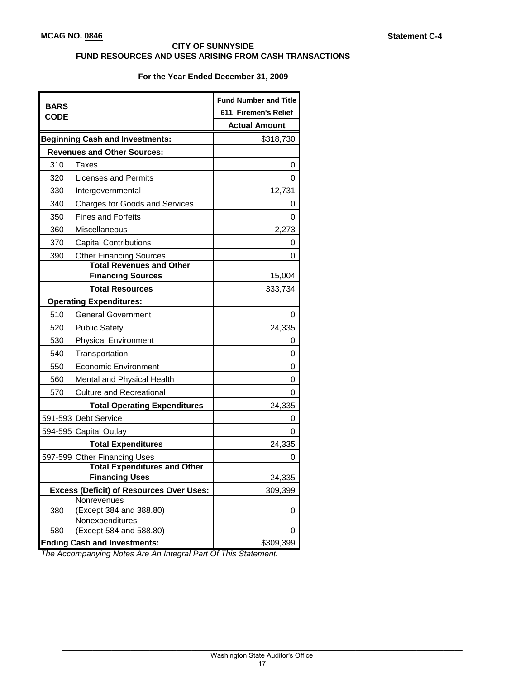#### **CITY OF SUNNYSIDE FUND RESOURCES AND USES ARISING FROM CASH TRANSACTIONS**

#### **For the Year Ended December 31, 2009**

|                            |                                                                | <b>Fund Number and Title</b> |
|----------------------------|----------------------------------------------------------------|------------------------------|
| <b>BARS</b><br><b>CODE</b> |                                                                | 611 Firemen's Relief         |
|                            |                                                                | <b>Actual Amount</b>         |
|                            | <b>Beginning Cash and Investments:</b>                         | \$318,730                    |
|                            | <b>Revenues and Other Sources:</b>                             |                              |
| 310                        | Taxes                                                          | 0                            |
| 320                        | <b>Licenses and Permits</b>                                    | 0                            |
| 330                        | Intergovernmental                                              | 12,731                       |
| 340                        | <b>Charges for Goods and Services</b>                          | O                            |
| 350                        | <b>Fines and Forfeits</b>                                      | 0                            |
| 360                        | Miscellaneous                                                  | 2,273                        |
| 370                        | <b>Capital Contributions</b>                                   | 0                            |
| 390                        | <b>Other Financing Sources</b>                                 | 0                            |
|                            | <b>Total Revenues and Other</b>                                |                              |
|                            | <b>Financing Sources</b>                                       | 15,004                       |
|                            | <b>Total Resources</b>                                         | 333,734                      |
|                            | <b>Operating Expenditures:</b>                                 |                              |
| 510                        | <b>General Government</b>                                      | 0                            |
| 520                        | <b>Public Safety</b>                                           | 24,335                       |
| 530                        | <b>Physical Environment</b>                                    | 0                            |
| 540                        | Transportation                                                 | 0                            |
| 550                        | <b>Economic Environment</b>                                    | 0                            |
| 560                        | Mental and Physical Health                                     | 0                            |
| 570                        | <b>Culture and Recreational</b>                                | 0                            |
|                            | <b>Total Operating Expenditures</b>                            | 24,335                       |
|                            | 591-593 Debt Service                                           | 0                            |
|                            | 594-595 Capital Outlay                                         | 0                            |
|                            | <b>Total Expenditures</b>                                      | 24,335                       |
|                            | 597-599 Other Financing Uses                                   | 0                            |
|                            | <b>Total Expenditures and Other</b>                            |                              |
|                            | Financing Uses                                                 | 24,335                       |
|                            | <b>Excess (Deficit) of Resources Over Uses:</b><br>Nonrevenues | 309,399                      |
| 380                        | (Except 384 and 388.80)                                        | 0                            |
|                            | Nonexpenditures                                                |                              |
| 580                        | (Except 584 and 588.80)                                        | 0                            |
|                            | <b>Ending Cash and Investments:</b>                            | \$309,399                    |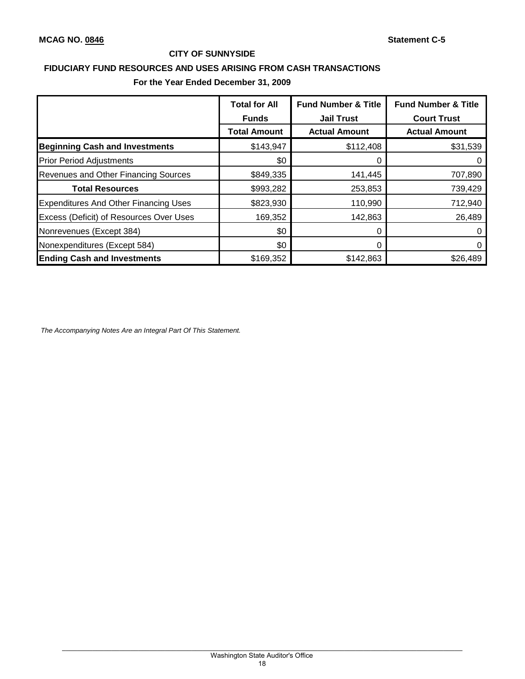#### **FIDUCIARY FUND RESOURCES AND USES ARISING FROM CASH TRANSACTIONS For the Year Ended December 31, 2009**

|                                              | <b>Total for All</b><br><b>Funds</b> | <b>Fund Number &amp; Title</b><br><b>Jail Trust</b> | <b>Fund Number &amp; Title</b><br><b>Court Trust</b> |
|----------------------------------------------|--------------------------------------|-----------------------------------------------------|------------------------------------------------------|
|                                              | <b>Total Amount</b>                  | <b>Actual Amount</b>                                | <b>Actual Amount</b>                                 |
| <b>Beginning Cash and Investments</b>        | \$143,947                            | \$112,408                                           | \$31,539                                             |
| <b>Prior Period Adjustments</b>              | \$0                                  |                                                     |                                                      |
| Revenues and Other Financing Sources         | \$849,335                            | 141,445                                             | 707,890                                              |
| <b>Total Resources</b>                       | \$993,282                            | 253,853                                             | 739,429                                              |
| <b>Expenditures And Other Financing Uses</b> | \$823,930                            | 110,990                                             | 712,940                                              |
| Excess (Deficit) of Resources Over Uses      | 169,352                              | 142,863                                             | 26,489                                               |
| Nonrevenues (Except 384)                     | \$0                                  | 0                                                   |                                                      |
| Nonexpenditures (Except 584)                 | \$0                                  | 0                                                   |                                                      |
| <b>Ending Cash and Investments</b>           | \$169,352                            | \$142,863                                           | \$26,489                                             |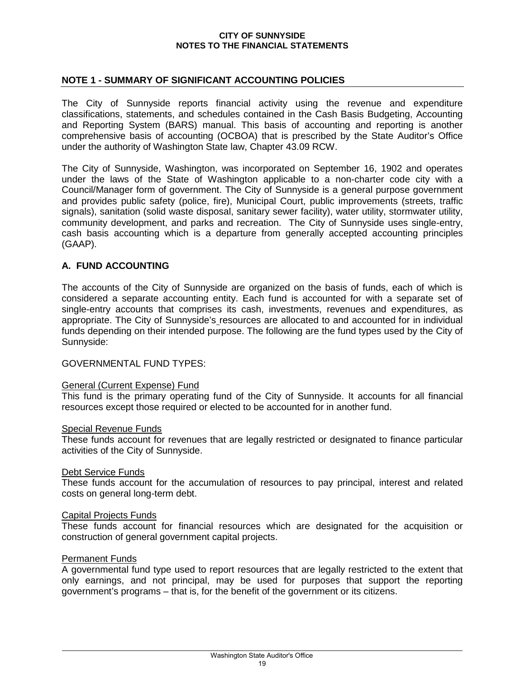#### **NOTE 1 - SUMMARY OF SIGNIFICANT ACCOUNTING POLICIES**

The City of Sunnyside reports financial activity using the revenue and expenditure classifications, statements, and schedules contained in the Cash Basis Budgeting, Accounting and Reporting System (BARS) manual. This basis of accounting and reporting is another comprehensive basis of accounting (OCBOA) that is prescribed by the State Auditor's Office under the authority of Washington State law, Chapter 43.09 RCW.

The City of Sunnyside, Washington, was incorporated on September 16, 1902 and operates under the laws of the State of Washington applicable to a non-charter code city with a Council/Manager form of government. The City of Sunnyside is a general purpose government and provides public safety (police, fire), Municipal Court, public improvements (streets, traffic signals), sanitation (solid waste disposal, sanitary sewer facility), water utility, stormwater utility, community development, and parks and recreation. The City of Sunnyside uses single-entry, cash basis accounting which is a departure from generally accepted accounting principles (GAAP).

#### **A. FUND ACCOUNTING**

The accounts of the City of Sunnyside are organized on the basis of funds, each of which is considered a separate accounting entity. Each fund is accounted for with a separate set of single-entry accounts that comprises its cash, investments, revenues and expenditures, as appropriate. The City of Sunnyside's resources are allocated to and accounted for in individual funds depending on their intended purpose. The following are the fund types used by the City of Sunnyside:

GOVERNMENTAL FUND TYPES:

#### General (Current Expense) Fund

This fund is the primary operating fund of the City of Sunnyside. It accounts for all financial resources except those required or elected to be accounted for in another fund.

#### Special Revenue Funds

These funds account for revenues that are legally restricted or designated to finance particular activities of the City of Sunnyside.

#### Debt Service Funds

These funds account for the accumulation of resources to pay principal, interest and related costs on general long-term debt.

#### Capital Projects Funds

These funds account for financial resources which are designated for the acquisition or construction of general government capital projects.

#### Permanent Funds

A governmental fund type used to report resources that are legally restricted to the extent that only earnings, and not principal, may be used for purposes that support the reporting government's programs – that is, for the benefit of the government or its citizens.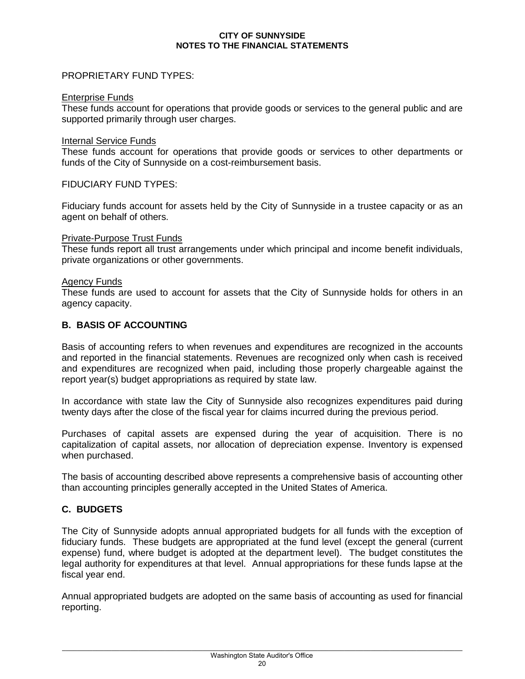#### PROPRIETARY FUND TYPES:

#### Enterprise Funds

These funds account for operations that provide goods or services to the general public and are supported primarily through user charges.

#### Internal Service Funds

These funds account for operations that provide goods or services to other departments or funds of the City of Sunnyside on a cost-reimbursement basis.

#### FIDUCIARY FUND TYPES:

Fiduciary funds account for assets held by the City of Sunnyside in a trustee capacity or as an agent on behalf of others.

#### Private-Purpose Trust Funds

These funds report all trust arrangements under which principal and income benefit individuals, private organizations or other governments.

#### Agency Funds

These funds are used to account for assets that the City of Sunnyside holds for others in an agency capacity.

#### **B. BASIS OF ACCOUNTING**

Basis of accounting refers to when revenues and expenditures are recognized in the accounts and reported in the financial statements. Revenues are recognized only when cash is received and expenditures are recognized when paid, including those properly chargeable against the report year(s) budget appropriations as required by state law.

In accordance with state law the City of Sunnyside also recognizes expenditures paid during twenty days after the close of the fiscal year for claims incurred during the previous period.

Purchases of capital assets are expensed during the year of acquisition. There is no capitalization of capital assets, nor allocation of depreciation expense. Inventory is expensed when purchased.

The basis of accounting described above represents a comprehensive basis of accounting other than accounting principles generally accepted in the United States of America.

#### **C. BUDGETS**

The City of Sunnyside adopts annual appropriated budgets for all funds with the exception of fiduciary funds. These budgets are appropriated at the fund level (except the general (current expense) fund, where budget is adopted at the department level). The budget constitutes the legal authority for expenditures at that level. Annual appropriations for these funds lapse at the fiscal year end.

Annual appropriated budgets are adopted on the same basis of accounting as used for financial reporting.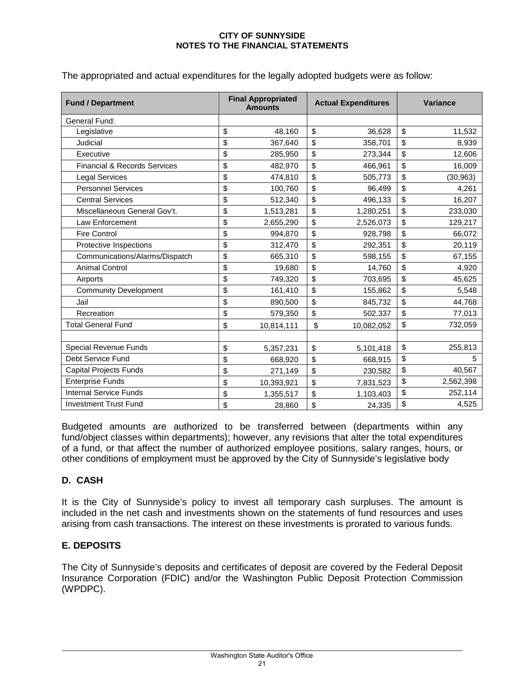| <b>Fund / Department</b>                | <b>Final Appropriated</b><br><b>Amounts</b> | <b>Actual Expenditures</b> | <b>Variance</b> |
|-----------------------------------------|---------------------------------------------|----------------------------|-----------------|
| General Fund:                           |                                             |                            |                 |
| Legislative                             | \$<br>48,160                                | \$<br>36,628               | \$<br>11,532    |
| Judicial                                | \$<br>367,640                               | \$<br>358,701              | \$<br>8,939     |
| Executive                               | \$<br>285,950                               | \$<br>273,344              | \$<br>12,606    |
| <b>Financial &amp; Records Services</b> | \$<br>482,970                               | \$<br>466,961              | \$<br>16,009    |
| <b>Legal Services</b>                   | \$<br>474,810                               | \$<br>505,773              | \$<br>(30, 963) |
| <b>Personnel Services</b>               | \$<br>100,760                               | \$<br>96,499               | \$<br>4,261     |
| <b>Central Services</b>                 | \$<br>512,340                               | \$<br>496,133              | \$<br>16,207    |
| Miscellaneous General Gov't.            | \$<br>1,513,281                             | \$<br>1,280,251            | \$<br>233,030   |
| <b>Law Enforcement</b>                  | \$<br>2,655,290                             | \$<br>2,526,073            | \$<br>129,217   |
| <b>Fire Control</b>                     | \$<br>994,870                               | \$<br>928,798              | \$<br>66,072    |
| Protective Inspections                  | \$<br>312,470                               | \$<br>292,351              | \$<br>20,119    |
| Communications/Alarms/Dispatch          | \$<br>665,310                               | \$<br>598,155              | \$<br>67,155    |
| <b>Animal Control</b>                   | \$<br>19,680                                | \$<br>14,760               | \$<br>4,920     |
| Airports                                | \$<br>749,320                               | \$<br>703,695              | \$<br>45,625    |
| <b>Community Development</b>            | \$<br>161,410                               | \$<br>155,862              | \$<br>5,548     |
| Jail                                    | \$<br>890,500                               | \$<br>845,732              | \$<br>44,768    |
| Recreation                              | \$<br>579,350                               | \$<br>502,337              | \$<br>77,013    |
| <b>Total General Fund</b>               | \$<br>10,814,111                            | \$<br>10,082,052           | \$<br>732,059   |
|                                         |                                             |                            |                 |
| <b>Special Revenue Funds</b>            | \$<br>5,357,231                             | \$<br>5,101,418            | \$<br>255,813   |
| Debt Service Fund                       | \$<br>668,920                               | \$<br>668,915              | \$<br>5         |
| <b>Capital Projects Funds</b>           | \$<br>271,149                               | \$<br>230,582              | \$<br>40,567    |
| <b>Enterprise Funds</b>                 | \$<br>10,393,921                            | \$<br>7,831,523            | \$<br>2,562,398 |
| <b>Internal Service Funds</b>           | \$<br>1,355,517                             | \$<br>1,103,403            | \$<br>252,114   |
| <b>Investment Trust Fund</b>            | \$<br>28,860                                | \$<br>24,335               | \$<br>4,525     |

The appropriated and actual expenditures for the legally adopted budgets were as follow:

Budgeted amounts are authorized to be transferred between (departments within any fund/object classes within departments); however, any revisions that alter the total expenditures of a fund, or that affect the number of authorized employee positions, salary ranges, hours, or other conditions of employment must be approved by the City of Sunnyside's legislative body

#### **D. CASH**

It is the City of Sunnyside's policy to invest all temporary cash surpluses. The amount is included in the net cash and investments shown on the statements of fund resources and uses arising from cash transactions. The interest on these investments is prorated to various funds.

#### **E. DEPOSITS**

The City of Sunnyside's deposits and certificates of deposit are covered by the Federal Deposit Insurance Corporation (FDIC) and/or the Washington Public Deposit Protection Commission (WPDPC).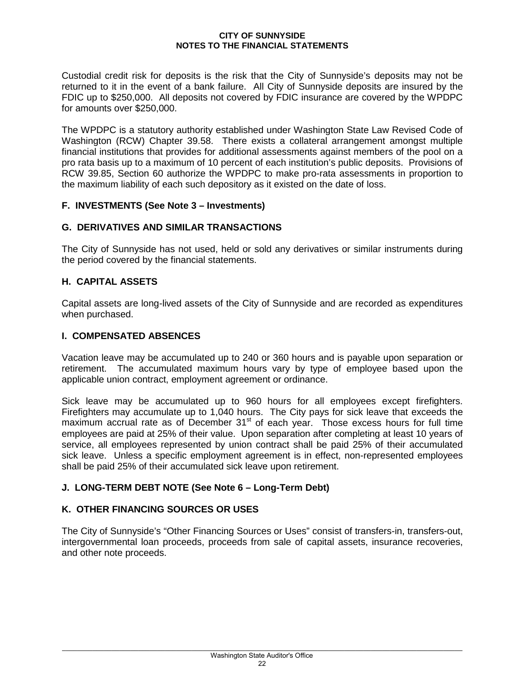Custodial credit risk for deposits is the risk that the City of Sunnyside's deposits may not be returned to it in the event of a bank failure. All City of Sunnyside deposits are insured by the FDIC up to \$250,000. All deposits not covered by FDIC insurance are covered by the WPDPC for amounts over \$250,000.

The WPDPC is a statutory authority established under Washington State Law Revised Code of Washington (RCW) Chapter 39.58. There exists a collateral arrangement amongst multiple financial institutions that provides for additional assessments against members of the pool on a pro rata basis up to a maximum of 10 percent of each institution's public deposits. Provisions of RCW 39.85, Section 60 authorize the WPDPC to make pro-rata assessments in proportion to the maximum liability of each such depository as it existed on the date of loss.

#### **F. INVESTMENTS (See Note 3 – Investments)**

#### **G. DERIVATIVES AND SIMILAR TRANSACTIONS**

The City of Sunnyside has not used, held or sold any derivatives or similar instruments during the period covered by the financial statements.

#### **H. CAPITAL ASSETS**

Capital assets are long-lived assets of the City of Sunnyside and are recorded as expenditures when purchased.

#### **I. COMPENSATED ABSENCES**

Vacation leave may be accumulated up to 240 or 360 hours and is payable upon separation or retirement. The accumulated maximum hours vary by type of employee based upon the applicable union contract, employment agreement or ordinance.

Sick leave may be accumulated up to 960 hours for all employees except firefighters. Firefighters may accumulate up to 1,040 hours. The City pays for sick leave that exceeds the maximum accrual rate as of December 31<sup>st</sup> of each year. Those excess hours for full time employees are paid at 25% of their value. Upon separation after completing at least 10 years of service, all employees represented by union contract shall be paid 25% of their accumulated sick leave. Unless a specific employment agreement is in effect, non-represented employees shall be paid 25% of their accumulated sick leave upon retirement.

#### **J. LONG-TERM DEBT NOTE (See Note 6 – Long-Term Debt)**

#### **K. OTHER FINANCING SOURCES OR USES**

The City of Sunnyside's "Other Financing Sources or Uses" consist of transfers-in, transfers-out, intergovernmental loan proceeds, proceeds from sale of capital assets, insurance recoveries, and other note proceeds.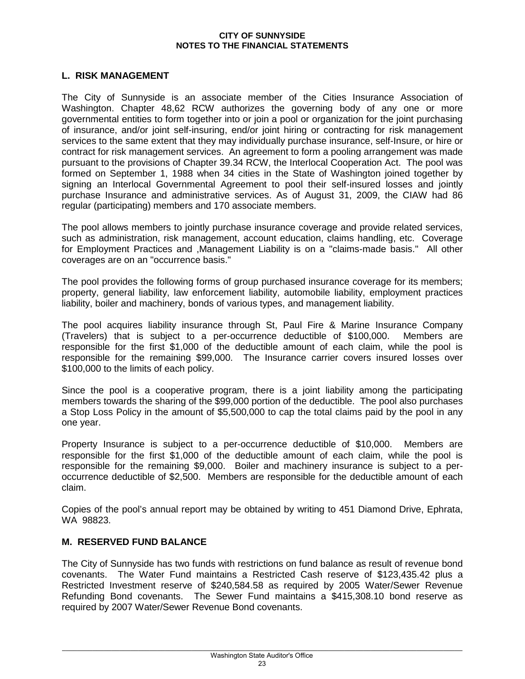#### **L. RISK MANAGEMENT**

The City of Sunnyside is an associate member of the Cities Insurance Association of Washington. Chapter 48,62 RCW authorizes the governing body of any one or more governmental entities to form together into or join a pool or organization for the joint purchasing of insurance, and/or joint self-insuring, end/or joint hiring or contracting for risk management services to the same extent that they may individually purchase insurance, self-Insure, or hire or contract for risk management services. An agreement to form a pooling arrangement was made pursuant to the provisions of Chapter 39.34 RCW, the Interlocal Cooperation Act. The pool was formed on September 1, 1988 when 34 cities in the State of Washington joined together by signing an Interlocal Governmental Agreement to pool their self-insured losses and jointly purchase Insurance and administrative services. As of August 31, 2009, the CIAW had 86 regular (participating) members and 170 associate members.

The pool allows members to jointly purchase insurance coverage and provide related services, such as administration, risk management, account education, claims handling, etc. Coverage for Employment Practices and ,Management Liability is on a "claims-made basis." All other coverages are on an "occurrence basis."

The pool provides the following forms of group purchased insurance coverage for its members; property, general liability, law enforcement liability, automobile liability, employment practices liability, boiler and machinery, bonds of various types, and management liability.

The pool acquires liability insurance through St, Paul Fire & Marine Insurance Company (Travelers) that is subject to a per-occurrence deductible of \$100,000. Members are responsible for the first \$1,000 of the deductible amount of each claim, while the pool is responsible for the remaining \$99,000. The Insurance carrier covers insured losses over \$100,000 to the limits of each policy.

Since the pool is a cooperative program, there is a joint liability among the participating members towards the sharing of the \$99,000 portion of the deductible. The pool also purchases a Stop Loss Policy in the amount of \$5,500,000 to cap the total claims paid by the pool in any one year.

Property Insurance is subject to a per-occurrence deductible of \$10,000. Members are responsible for the first \$1,000 of the deductible amount of each claim, while the pool is responsible for the remaining \$9,000. Boiler and machinery insurance is subject to a peroccurrence deductible of \$2,500. Members are responsible for the deductible amount of each claim.

Copies of the pool's annual report may be obtained by writing to 451 Diamond Drive, Ephrata, WA 98823.

#### **M. RESERVED FUND BALANCE**

The City of Sunnyside has two funds with restrictions on fund balance as result of revenue bond covenants. The Water Fund maintains a Restricted Cash reserve of \$123,435.42 plus a Restricted Investment reserve of \$240,584.58 as required by 2005 Water/Sewer Revenue Refunding Bond covenants. The Sewer Fund maintains a \$415,308.10 bond reserve as required by 2007 Water/Sewer Revenue Bond covenants.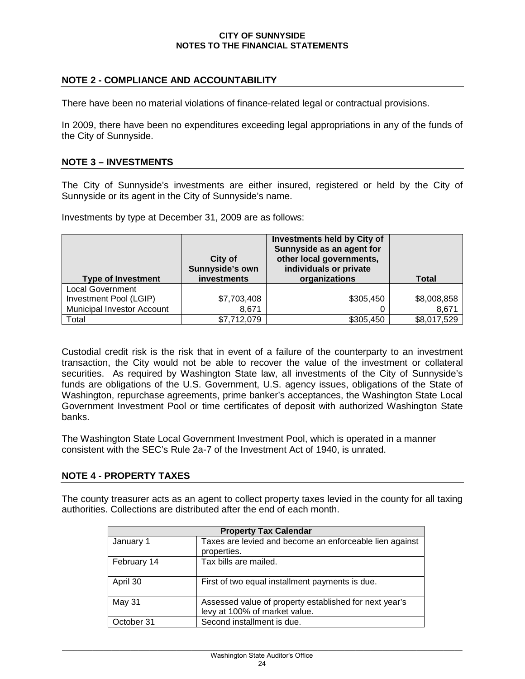#### **NOTE 2 - COMPLIANCE AND ACCOUNTABILITY**

There have been no material violations of finance-related legal or contractual provisions.

In 2009, there have been no expenditures exceeding legal appropriations in any of the funds of the City of Sunnyside.

#### **NOTE 3 – INVESTMENTS**

The City of Sunnyside's investments are either insured, registered or held by the City of Sunnyside or its agent in the City of Sunnyside's name.

Investments by type at December 31, 2009 are as follows:

|                            | City of<br>Sunnyside's own | <b>Investments held by City of</b><br>Sunnyside as an agent for<br>other local governments,<br>individuals or private |              |
|----------------------------|----------------------------|-----------------------------------------------------------------------------------------------------------------------|--------------|
| <b>Type of Investment</b>  | investments                | organizations                                                                                                         | <b>Total</b> |
| <b>Local Government</b>    |                            |                                                                                                                       |              |
| Investment Pool (LGIP)     | \$7,703,408                | \$305,450                                                                                                             | \$8,008,858  |
| Municipal Investor Account | 8,671                      |                                                                                                                       | 8,671        |
| Total                      | \$7,712,079                | \$305,450                                                                                                             | \$8,017,529  |

Custodial credit risk is the risk that in event of a failure of the counterparty to an investment transaction, the City would not be able to recover the value of the investment or collateral securities. As required by Washington State law, all investments of the City of Sunnyside's funds are obligations of the U.S. Government, U.S. agency issues, obligations of the State of Washington, repurchase agreements, prime banker's acceptances, the Washington State Local Government Investment Pool or time certificates of deposit with authorized Washington State banks.

The Washington State Local Government Investment Pool, which is operated in a manner consistent with the SEC's Rule 2a-7 of the Investment Act of 1940, is unrated.

#### **NOTE 4 - PROPERTY TAXES**

The county treasurer acts as an agent to collect property taxes levied in the county for all taxing authorities. Collections are distributed after the end of each month.

| <b>Property Tax Calendar</b>                                         |                                                        |  |  |  |  |  |  |
|----------------------------------------------------------------------|--------------------------------------------------------|--|--|--|--|--|--|
| Taxes are levied and become an enforceable lien against<br>January 1 |                                                        |  |  |  |  |  |  |
|                                                                      | properties.                                            |  |  |  |  |  |  |
| February 14                                                          | Tax bills are mailed.                                  |  |  |  |  |  |  |
| April 30                                                             | First of two equal installment payments is due.        |  |  |  |  |  |  |
| May 31                                                               | Assessed value of property established for next year's |  |  |  |  |  |  |
|                                                                      | levy at 100% of market value.                          |  |  |  |  |  |  |
| October 31                                                           | Second installment is due.                             |  |  |  |  |  |  |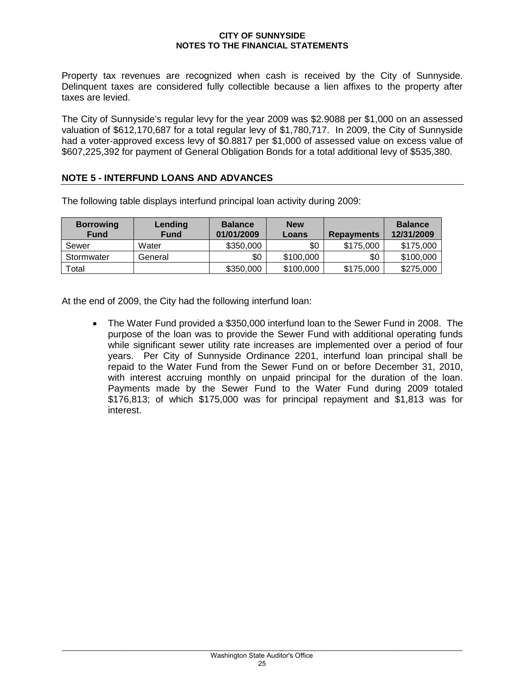Property tax revenues are recognized when cash is received by the City of Sunnyside. Delinquent taxes are considered fully collectible because a lien affixes to the property after taxes are levied.

The City of Sunnyside's regular levy for the year 2009 was \$2.9088 per \$1,000 on an assessed valuation of \$612,170,687 for a total regular levy of \$1,780,717. In 2009, the City of Sunnyside had a voter-approved excess levy of \$0.8817 per \$1,000 of assessed value on excess value of \$607,225,392 for payment of General Obligation Bonds for a total additional levy of \$535,380.

#### **NOTE 5 - INTERFUND LOANS AND ADVANCES**

| <b>Borrowing</b><br><b>Fund</b> | Lending<br><b>Fund</b> | <b>Balance</b><br>01/01/2009 | <b>New</b><br>Loans | <b>Repayments</b> | <b>Balance</b><br>12/31/2009 |
|---------------------------------|------------------------|------------------------------|---------------------|-------------------|------------------------------|
| Sewer                           | Water                  | \$350,000                    | \$0                 | \$175,000         | \$175,000                    |
| Stormwater                      | General                | \$0                          | \$100,000           | \$0               | \$100,000                    |
| Total                           |                        | \$350,000                    | \$100,000           | \$175,000         | \$275,000                    |

The following table displays interfund principal loan activity during 2009:

At the end of 2009, the City had the following interfund loan:

• The Water Fund provided a \$350,000 interfund loan to the Sewer Fund in 2008. The purpose of the loan was to provide the Sewer Fund with additional operating funds while significant sewer utility rate increases are implemented over a period of four years. Per City of Sunnyside Ordinance 2201, interfund loan principal shall be repaid to the Water Fund from the Sewer Fund on or before December 31, 2010, with interest accruing monthly on unpaid principal for the duration of the loan. Payments made by the Sewer Fund to the Water Fund during 2009 totaled \$176,813; of which \$175,000 was for principal repayment and \$1,813 was for interest.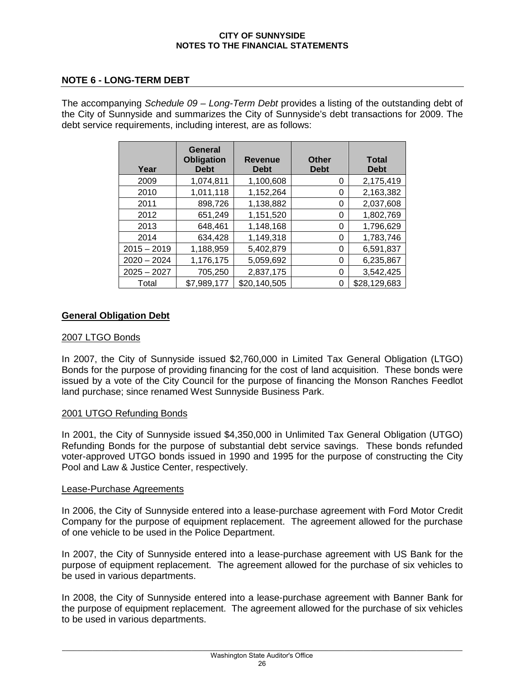#### **NOTE 6 - LONG-TERM DEBT**

The accompanying *Schedule 09 – Long-Term Debt* provides a listing of the outstanding debt of the City of Sunnyside and summarizes the City of Sunnyside's debt transactions for 2009. The debt service requirements, including interest, are as follows:

| Year          | General<br><b>Obligation</b><br><b>Debt</b> | <b>Revenue</b><br><b>Debt</b> | <b>Other</b><br><b>Debt</b> | Total<br><b>Debt</b> |
|---------------|---------------------------------------------|-------------------------------|-----------------------------|----------------------|
| 2009          | 1,074,811                                   | 1,100,608                     | 0                           | 2,175,419            |
| 2010          | 1,011,118                                   | 1,152,264                     | 0                           | 2,163,382            |
| 2011          | 898,726                                     | 1,138,882                     | 0                           | 2,037,608            |
| 2012          | 651,249                                     | 1,151,520                     | 0                           | 1,802,769            |
| 2013          | 648,461                                     | 1,148,168                     | 0                           | 1,796,629            |
| 2014          | 634,428                                     | 1,149,318                     | 0                           | 1,783,746            |
| $2015 - 2019$ | 1,188,959                                   | 5,402,879                     | 0                           | 6,591,837            |
| $2020 - 2024$ | 1,176,175                                   | 5,059,692                     | 0                           | 6,235,867            |
| $2025 - 2027$ | 705,250                                     | 2,837,175                     | 0                           | 3,542,425            |
| Total         | \$7,989,177                                 | \$20,140,505                  | 0                           | \$28,129,683         |

#### **General Obligation Debt**

#### 2007 LTGO Bonds

In 2007, the City of Sunnyside issued \$2,760,000 in Limited Tax General Obligation (LTGO) Bonds for the purpose of providing financing for the cost of land acquisition. These bonds were issued by a vote of the City Council for the purpose of financing the Monson Ranches Feedlot land purchase; since renamed West Sunnyside Business Park.

#### 2001 UTGO Refunding Bonds

In 2001, the City of Sunnyside issued \$4,350,000 in Unlimited Tax General Obligation (UTGO) Refunding Bonds for the purpose of substantial debt service savings. These bonds refunded voter-approved UTGO bonds issued in 1990 and 1995 for the purpose of constructing the City Pool and Law & Justice Center, respectively.

#### Lease-Purchase Agreements

In 2006, the City of Sunnyside entered into a lease-purchase agreement with Ford Motor Credit Company for the purpose of equipment replacement. The agreement allowed for the purchase of one vehicle to be used in the Police Department.

In 2007, the City of Sunnyside entered into a lease-purchase agreement with US Bank for the purpose of equipment replacement. The agreement allowed for the purchase of six vehicles to be used in various departments.

In 2008, the City of Sunnyside entered into a lease-purchase agreement with Banner Bank for the purpose of equipment replacement. The agreement allowed for the purchase of six vehicles to be used in various departments.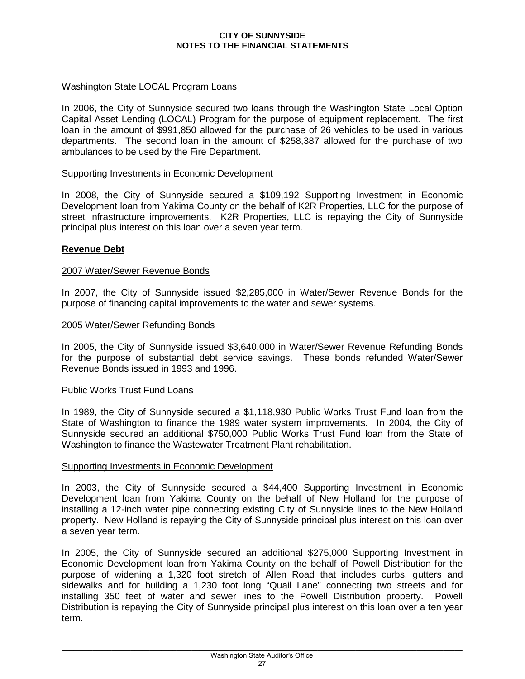#### Washington State LOCAL Program Loans

In 2006, the City of Sunnyside secured two loans through the Washington State Local Option Capital Asset Lending (LOCAL) Program for the purpose of equipment replacement. The first loan in the amount of \$991,850 allowed for the purchase of 26 vehicles to be used in various departments. The second loan in the amount of \$258,387 allowed for the purchase of two ambulances to be used by the Fire Department.

#### Supporting Investments in Economic Development

In 2008, the City of Sunnyside secured a \$109,192 Supporting Investment in Economic Development loan from Yakima County on the behalf of K2R Properties, LLC for the purpose of street infrastructure improvements. K2R Properties, LLC is repaying the City of Sunnyside principal plus interest on this loan over a seven year term.

#### **Revenue Debt**

#### 2007 Water/Sewer Revenue Bonds

In 2007, the City of Sunnyside issued \$2,285,000 in Water/Sewer Revenue Bonds for the purpose of financing capital improvements to the water and sewer systems.

#### 2005 Water/Sewer Refunding Bonds

In 2005, the City of Sunnyside issued \$3,640,000 in Water/Sewer Revenue Refunding Bonds for the purpose of substantial debt service savings. These bonds refunded Water/Sewer Revenue Bonds issued in 1993 and 1996.

#### Public Works Trust Fund Loans

In 1989, the City of Sunnyside secured a \$1,118,930 Public Works Trust Fund loan from the State of Washington to finance the 1989 water system improvements. In 2004, the City of Sunnyside secured an additional \$750,000 Public Works Trust Fund loan from the State of Washington to finance the Wastewater Treatment Plant rehabilitation.

#### Supporting Investments in Economic Development

In 2003, the City of Sunnyside secured a \$44,400 Supporting Investment in Economic Development loan from Yakima County on the behalf of New Holland for the purpose of installing a 12-inch water pipe connecting existing City of Sunnyside lines to the New Holland property. New Holland is repaying the City of Sunnyside principal plus interest on this loan over a seven year term.

In 2005, the City of Sunnyside secured an additional \$275,000 Supporting Investment in Economic Development loan from Yakima County on the behalf of Powell Distribution for the purpose of widening a 1,320 foot stretch of Allen Road that includes curbs, gutters and sidewalks and for building a 1,230 foot long "Quail Lane" connecting two streets and for installing 350 feet of water and sewer lines to the Powell Distribution property. Powell Distribution is repaying the City of Sunnyside principal plus interest on this loan over a ten year term.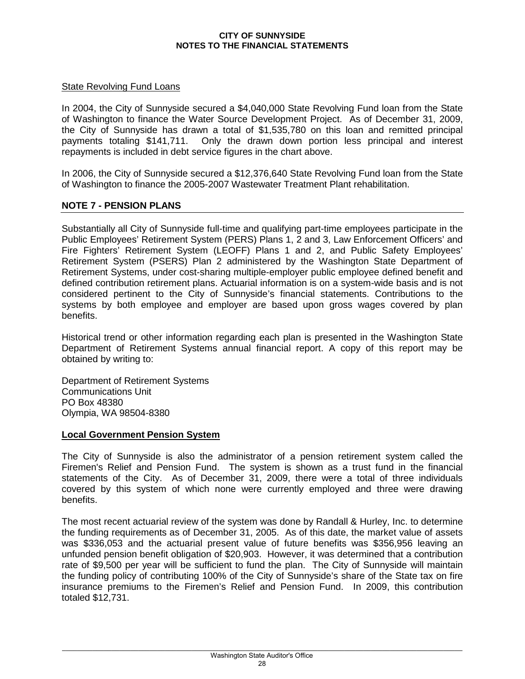#### State Revolving Fund Loans

In 2004, the City of Sunnyside secured a \$4,040,000 State Revolving Fund loan from the State of Washington to finance the Water Source Development Project. As of December 31, 2009, the City of Sunnyside has drawn a total of \$1,535,780 on this loan and remitted principal payments totaling \$141,711. Only the drawn down portion less principal and interest repayments is included in debt service figures in the chart above.

In 2006, the City of Sunnyside secured a \$12,376,640 State Revolving Fund loan from the State of Washington to finance the 2005-2007 Wastewater Treatment Plant rehabilitation.

#### **NOTE 7 - PENSION PLANS**

Substantially all City of Sunnyside full-time and qualifying part-time employees participate in the Public Employees' Retirement System (PERS) Plans 1, 2 and 3, Law Enforcement Officers' and Fire Fighters' Retirement System (LEOFF) Plans 1 and 2, and Public Safety Employees' Retirement System (PSERS) Plan 2 administered by the Washington State Department of Retirement Systems, under cost-sharing multiple-employer public employee defined benefit and defined contribution retirement plans. Actuarial information is on a system-wide basis and is not considered pertinent to the City of Sunnyside's financial statements. Contributions to the systems by both employee and employer are based upon gross wages covered by plan benefits.

Historical trend or other information regarding each plan is presented in the Washington State Department of Retirement Systems annual financial report. A copy of this report may be obtained by writing to:

Department of Retirement Systems Communications Unit PO Box 48380 Olympia, WA 98504-8380

#### **Local Government Pension System**

The City of Sunnyside is also the administrator of a pension retirement system called the Firemen's Relief and Pension Fund. The system is shown as a trust fund in the financial statements of the City. As of December 31, 2009, there were a total of three individuals covered by this system of which none were currently employed and three were drawing benefits.

The most recent actuarial review of the system was done by Randall & Hurley, Inc. to determine the funding requirements as of December 31, 2005. As of this date, the market value of assets was \$336,053 and the actuarial present value of future benefits was \$356,956 leaving an unfunded pension benefit obligation of \$20,903. However, it was determined that a contribution rate of \$9,500 per year will be sufficient to fund the plan. The City of Sunnyside will maintain the funding policy of contributing 100% of the City of Sunnyside's share of the State tax on fire insurance premiums to the Firemen's Relief and Pension Fund. In 2009, this contribution totaled \$12,731.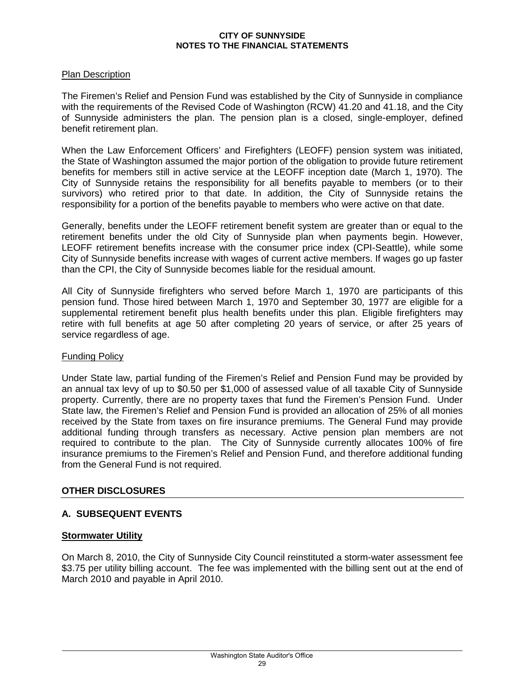#### Plan Description

The Firemen's Relief and Pension Fund was established by the City of Sunnyside in compliance with the requirements of the Revised Code of Washington (RCW) 41.20 and 41.18, and the City of Sunnyside administers the plan. The pension plan is a closed, single-employer, defined benefit retirement plan.

When the Law Enforcement Officers' and Firefighters (LEOFF) pension system was initiated, the State of Washington assumed the major portion of the obligation to provide future retirement benefits for members still in active service at the LEOFF inception date (March 1, 1970). The City of Sunnyside retains the responsibility for all benefits payable to members (or to their survivors) who retired prior to that date. In addition, the City of Sunnyside retains the responsibility for a portion of the benefits payable to members who were active on that date.

Generally, benefits under the LEOFF retirement benefit system are greater than or equal to the retirement benefits under the old City of Sunnyside plan when payments begin. However, LEOFF retirement benefits increase with the consumer price index (CPI-Seattle), while some City of Sunnyside benefits increase with wages of current active members. If wages go up faster than the CPI, the City of Sunnyside becomes liable for the residual amount.

All City of Sunnyside firefighters who served before March 1, 1970 are participants of this pension fund. Those hired between March 1, 1970 and September 30, 1977 are eligible for a supplemental retirement benefit plus health benefits under this plan. Eligible firefighters may retire with full benefits at age 50 after completing 20 years of service, or after 25 years of service regardless of age.

#### Funding Policy

Under State law, partial funding of the Firemen's Relief and Pension Fund may be provided by an annual tax levy of up to \$0.50 per \$1,000 of assessed value of all taxable City of Sunnyside property. Currently, there are no property taxes that fund the Firemen's Pension Fund. Under State law, the Firemen's Relief and Pension Fund is provided an allocation of 25% of all monies received by the State from taxes on fire insurance premiums. The General Fund may provide additional funding through transfers as necessary. Active pension plan members are not required to contribute to the plan. The City of Sunnyside currently allocates 100% of fire insurance premiums to the Firemen's Relief and Pension Fund, and therefore additional funding from the General Fund is not required.

#### **OTHER DISCLOSURES**

#### **A. SUBSEQUENT EVENTS**

#### **Stormwater Utility**

On March 8, 2010, the City of Sunnyside City Council reinstituted a storm-water assessment fee \$3.75 per utility billing account. The fee was implemented with the billing sent out at the end of March 2010 and payable in April 2010.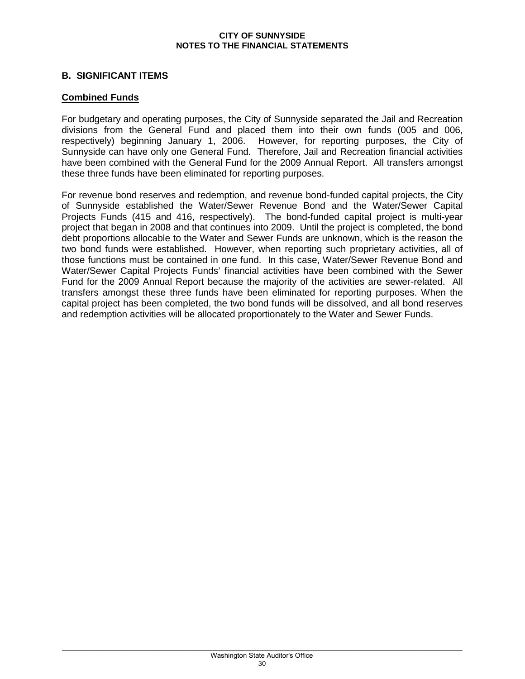#### **B. SIGNIFICANT ITEMS**

#### **Combined Funds**

For budgetary and operating purposes, the City of Sunnyside separated the Jail and Recreation divisions from the General Fund and placed them into their own funds (005 and 006, respectively) beginning January 1, 2006. However, for reporting purposes, the City of Sunnyside can have only one General Fund. Therefore, Jail and Recreation financial activities have been combined with the General Fund for the 2009 Annual Report. All transfers amongst these three funds have been eliminated for reporting purposes.

For revenue bond reserves and redemption, and revenue bond-funded capital projects, the City of Sunnyside established the Water/Sewer Revenue Bond and the Water/Sewer Capital Projects Funds (415 and 416, respectively). The bond-funded capital project is multi-year project that began in 2008 and that continues into 2009. Until the project is completed, the bond debt proportions allocable to the Water and Sewer Funds are unknown, which is the reason the two bond funds were established. However, when reporting such proprietary activities, all of those functions must be contained in one fund. In this case, Water/Sewer Revenue Bond and Water/Sewer Capital Projects Funds' financial activities have been combined with the Sewer Fund for the 2009 Annual Report because the majority of the activities are sewer-related. All transfers amongst these three funds have been eliminated for reporting purposes. When the capital project has been completed, the two bond funds will be dissolved, and all bond reserves and redemption activities will be allocated proportionately to the Water and Sewer Funds.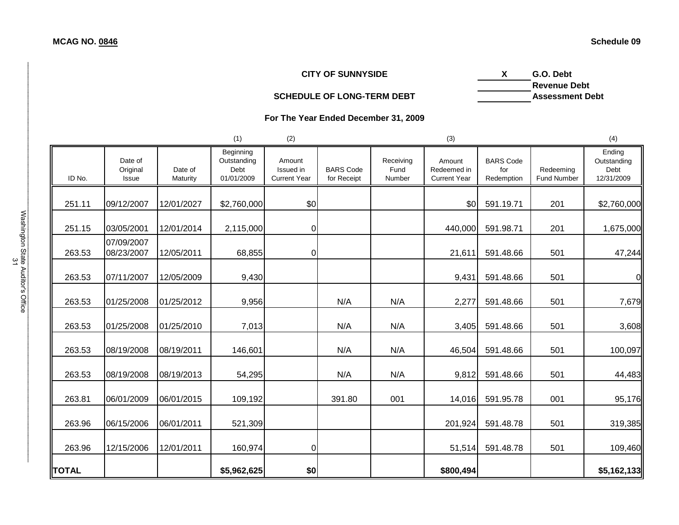#### **CITY OF SUNNYSIDE X G.O. Debt**

# **Revenue Debt<br>Assessment Debt**

**SCHEDULE OF LONG-TERM DEBT** 

#### **For The Year Ended December 31, 2009**

|              |                              |                     | (1)                                            | (2)                                        |                                 |                             | (3)                                          |                                       |                                 | (4)                                         |
|--------------|------------------------------|---------------------|------------------------------------------------|--------------------------------------------|---------------------------------|-----------------------------|----------------------------------------------|---------------------------------------|---------------------------------|---------------------------------------------|
| ID No.       | Date of<br>Original<br>Issue | Date of<br>Maturity | Beginning<br>Outstanding<br>Debt<br>01/01/2009 | Amount<br>Issued in<br><b>Current Year</b> | <b>BARS Code</b><br>for Receipt | Receiving<br>Fund<br>Number | Amount<br>Redeemed in<br><b>Current Year</b> | <b>BARS Code</b><br>for<br>Redemption | Redeeming<br><b>Fund Number</b> | Ending<br>Outstanding<br>Debt<br>12/31/2009 |
| 251.11       | 09/12/2007                   | 12/01/2027          | \$2,760,000                                    | \$0                                        |                                 |                             | \$0                                          | 591.19.71                             | 201                             | \$2,760,000                                 |
| 251.15       | 03/05/2001                   | 12/01/2014          | 2,115,000                                      | $\overline{0}$                             |                                 |                             | 440,000                                      | 591.98.71                             | 201                             | 1,675,000                                   |
| 263.53       | 07/09/2007<br>08/23/2007     | 12/05/2011          | 68,855                                         | 0l                                         |                                 |                             | 21,611                                       | 591.48.66                             | 501                             | 47,244                                      |
| 263.53       | 07/11/2007                   | 12/05/2009          | 9,430                                          |                                            |                                 |                             | 9,431                                        | 591.48.66                             | 501                             | 0                                           |
| 263.53       | 01/25/2008                   | 01/25/2012          | 9,956                                          |                                            | N/A                             | N/A                         | 2,277                                        | 591.48.66                             | 501                             | 7,679                                       |
| 263.53       | 01/25/2008                   | 01/25/2010          | 7,013                                          |                                            | N/A                             | N/A                         | 3,405                                        | 591.48.66                             | 501                             | 3,608                                       |
| 263.53       | 08/19/2008                   | 08/19/2011          | 146,601                                        |                                            | N/A                             | N/A                         | 46,504                                       | 591.48.66                             | 501                             | 100,097                                     |
| 263.53       | 08/19/2008                   | 08/19/2013          | 54,295                                         |                                            | N/A                             | N/A                         | 9,812                                        | 591.48.66                             | 501                             | 44,483                                      |
| 263.81       | 06/01/2009                   | 06/01/2015          | 109,192                                        |                                            | 391.80                          | 001                         | 14,016                                       | 591.95.78                             | 001                             | 95,176                                      |
| 263.96       | 06/15/2006                   | 06/01/2011          | 521,309                                        |                                            |                                 |                             | 201,924                                      | 591.48.78                             | 501                             | 319,385                                     |
| 263.96       | 12/15/2006                   | 12/01/2011          | 160,974                                        | $\Omega$                                   |                                 |                             | 51,514                                       | 591.48.78                             | 501                             | 109,460                                     |
| <b>TOTAL</b> |                              |                     | \$5,962,625                                    | \$0                                        |                                 |                             | \$800,494                                    |                                       |                                 | \$5,162,133                                 |

\_\_\_\_\_\_\_\_\_\_\_\_\_\_\_\_\_\_\_\_\_\_\_\_\_\_\_\_\_\_\_\_\_\_\_\_\_\_\_\_\_\_\_\_\_\_\_\_\_\_\_\_\_\_\_\_\_\_\_\_\_\_\_\_\_\_\_\_\_\_\_\_\_\_\_\_\_\_\_\_\_\_\_\_\_\_\_\_\_\_\_\_\_\_\_\_\_\_\_\_\_\_\_\_\_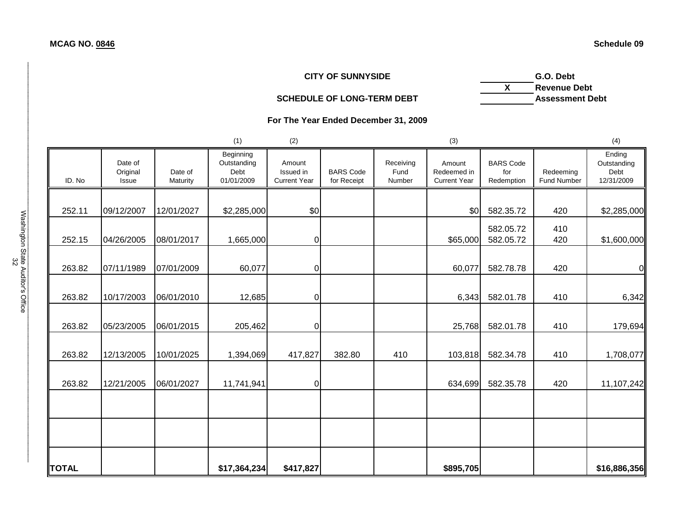## **CITY OF SUNNYSIDE** G.O. Debt **CITY OF SUNNYSIDE Revenue Debt**<br>**Assessment Debt**

#### **SCHEDULE OF LONG-TERM DEBT**

#### **For The Year Ended December 31, 2009**

|              |                              |                     | (1)                                            | (2)                                        |                                 |                             | (3)                                          |                                       |                          | (4)                                         |
|--------------|------------------------------|---------------------|------------------------------------------------|--------------------------------------------|---------------------------------|-----------------------------|----------------------------------------------|---------------------------------------|--------------------------|---------------------------------------------|
| ID. No       | Date of<br>Original<br>Issue | Date of<br>Maturity | Beginning<br>Outstanding<br>Debt<br>01/01/2009 | Amount<br>Issued in<br><b>Current Year</b> | <b>BARS Code</b><br>for Receipt | Receiving<br>Fund<br>Number | Amount<br>Redeemed in<br><b>Current Year</b> | <b>BARS Code</b><br>for<br>Redemption | Redeeming<br>Fund Number | Ending<br>Outstanding<br>Debt<br>12/31/2009 |
| 252.11       | 09/12/2007                   | 12/01/2027          | \$2,285,000                                    | \$0                                        |                                 |                             | \$0                                          | 582.35.72                             | 420                      | \$2,285,000                                 |
| 252.15       | 04/26/2005                   | 08/01/2017          | 1,665,000                                      | $\overline{0}$                             |                                 |                             | \$65,000                                     | 582.05.72<br>582.05.72                | 410<br>420               | \$1,600,000                                 |
| 263.82       | 07/11/1989                   | 07/01/2009          | 60,077                                         | $\overline{0}$                             |                                 |                             | 60,077                                       | 582.78.78                             | 420                      | $\overline{0}$                              |
| 263.82       | 10/17/2003                   | 06/01/2010          | 12,685                                         | 0                                          |                                 |                             | 6,343                                        | 582.01.78                             | 410                      | 6,342                                       |
| 263.82       | 05/23/2005                   | 06/01/2015          | 205,462                                        | $\overline{0}$                             |                                 |                             | 25,768                                       | 582.01.78                             | 410                      | 179,694                                     |
| 263.82       | 12/13/2005                   | 10/01/2025          | 1,394,069                                      | 417,827                                    | 382.80                          | 410                         | 103,818                                      | 582.34.78                             | 410                      | 1,708,077                                   |
| 263.82       | 12/21/2005                   | 06/01/2027          | 11,741,941                                     | $\Omega$                                   |                                 |                             | 634,699                                      | 582.35.78                             | 420                      | 11,107,242                                  |
|              |                              |                     |                                                |                                            |                                 |                             |                                              |                                       |                          |                                             |
|              |                              |                     |                                                |                                            |                                 |                             |                                              |                                       |                          |                                             |
| <b>TOTAL</b> |                              |                     | \$17,364,234                                   | \$417,827                                  |                                 |                             | \$895,705                                    |                                       |                          | \$16,886,356                                |

\_\_\_\_\_\_\_\_\_\_\_\_\_\_\_\_\_\_\_\_\_\_\_\_\_\_\_\_\_\_\_\_\_\_\_\_\_\_\_\_\_\_\_\_\_\_\_\_\_\_\_\_\_\_\_\_\_\_\_\_\_\_\_\_\_\_\_\_\_\_\_\_\_\_\_\_\_\_\_\_\_\_\_\_\_\_\_\_\_\_\_\_\_\_\_\_\_\_\_\_\_\_\_\_\_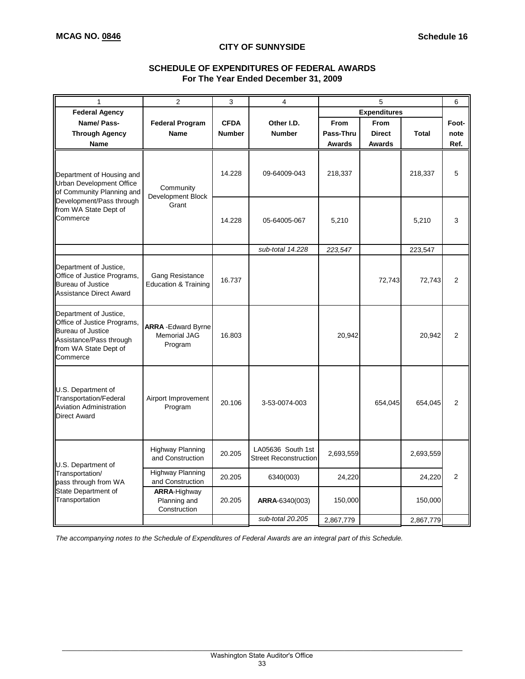#### **SCHEDULE OF EXPENDITURES OF FEDERAL AWARDS For The Year Ended December 31, 2009**

| $\mathbf{1}$                                                                                                                                      | $\overline{2}$                                               | 3                            | 4                                                 | 5                                         |                                        |              | 6                     |
|---------------------------------------------------------------------------------------------------------------------------------------------------|--------------------------------------------------------------|------------------------------|---------------------------------------------------|-------------------------------------------|----------------------------------------|--------------|-----------------------|
| <b>Federal Agency</b>                                                                                                                             |                                                              |                              |                                                   |                                           | <b>Expenditures</b>                    |              |                       |
| Name/ Pass-<br><b>Through Agency</b><br>Name                                                                                                      | <b>Federal Program</b><br><b>Name</b>                        | <b>CFDA</b><br><b>Number</b> | Other I.D.<br><b>Number</b>                       | <b>From</b><br>Pass-Thru<br><b>Awards</b> | From<br><b>Direct</b><br><b>Awards</b> | <b>Total</b> | Foot-<br>note<br>Ref. |
| Department of Housing and<br>Urban Development Office<br>of Community Planning and                                                                | Community<br>Development Block                               | 14.228                       | 09-64009-043                                      | 218,337                                   |                                        | 218,337      | 5                     |
| Development/Pass through<br>from WA State Dept of<br>Commerce                                                                                     | Grant                                                        | 14.228                       | 05-64005-067                                      | 5,210                                     |                                        | 5,210        | 3                     |
|                                                                                                                                                   |                                                              |                              | sub-total 14.228                                  | 223,547                                   |                                        | 223,547      |                       |
| Department of Justice,<br>Office of Justice Programs,<br><b>Bureau of Justice</b><br>Assistance Direct Award                                      | <b>Gang Resistance</b><br><b>Education &amp; Training</b>    | 16.737                       |                                                   |                                           | 72,743                                 | 72,743       | $\overline{2}$        |
| Department of Justice,<br>Office of Justice Programs,<br><b>Bureau of Justice</b><br>Assistance/Pass through<br>from WA State Dept of<br>Commerce | <b>ARRA</b> - Edward Byrne<br><b>Memorial JAG</b><br>Program | 16.803                       |                                                   | 20,942                                    |                                        | 20,942       | 2                     |
| U.S. Department of<br><b>Transportation/Federal</b><br><b>Aviation Administration</b><br><b>Direct Award</b>                                      | Airport Improvement<br>Program                               | 20.106                       | 3-53-0074-003                                     |                                           | 654,045                                | 654,045      | 2                     |
| U.S. Department of                                                                                                                                | <b>Highway Planning</b><br>and Construction                  | 20.205                       | LA05636 South 1st<br><b>Street Reconstruction</b> | 2,693,559                                 |                                        | 2,693,559    |                       |
| Transportation/<br>pass through from WA                                                                                                           | <b>Highway Planning</b><br>and Construction                  | 20.205                       | 6340(003)                                         | 24,220                                    |                                        | 24,220       | $\overline{2}$        |
| State Department of<br>Transportation                                                                                                             | <b>ARRA-Highway</b><br>Planning and<br>Construction          | 20.205                       | ARRA-6340(003)                                    | 150,000                                   |                                        | 150,000      |                       |
|                                                                                                                                                   |                                                              |                              | sub-total 20.205                                  | 2,867,779                                 |                                        | 2,867,779    |                       |

*The accompanying notes to the Schedule of Expenditures of Federal Awards are an integral part of this Schedule.*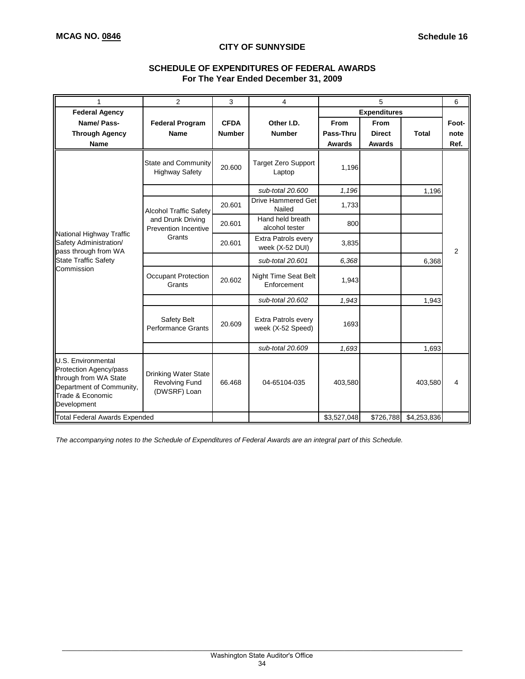#### **SCHEDULE OF EXPENDITURES OF FEDERAL AWARDS For The Year Ended December 31, 2009**

| 1                                                                                                                                    | $\overline{2}$                                                | 3                            | 4                                        | 5                           |                                 |              | 6                     |
|--------------------------------------------------------------------------------------------------------------------------------------|---------------------------------------------------------------|------------------------------|------------------------------------------|-----------------------------|---------------------------------|--------------|-----------------------|
| <b>Federal Agency</b>                                                                                                                |                                                               |                              |                                          |                             | <b>Expenditures</b>             |              |                       |
| Name/ Pass-<br><b>Through Agency</b><br><b>Name</b>                                                                                  | <b>Federal Program</b><br><b>Name</b>                         | <b>CFDA</b><br><b>Number</b> | Other I.D.<br><b>Number</b>              | From<br>Pass-Thru<br>Awards | From<br><b>Direct</b><br>Awards | <b>Total</b> | Foot-<br>note<br>Ref. |
|                                                                                                                                      | <b>State and Community</b><br><b>Highway Safety</b>           | 20.600                       | <b>Target Zero Support</b><br>Laptop     | 1,196                       |                                 |              |                       |
|                                                                                                                                      |                                                               |                              | sub-total 20,600                         | 1,196                       |                                 | 1,196        |                       |
|                                                                                                                                      | <b>Alcohol Traffic Safety</b>                                 | 20.601                       | <b>Drive Hammered Get</b><br>Nailed      | 1,733                       |                                 |              |                       |
|                                                                                                                                      | and Drunk Driving<br><b>Prevention Incentive</b><br>Grants    | 20.601                       | Hand held breath<br>alcohol tester       | 800                         |                                 |              |                       |
| National Highway Traffic<br>Safety Administration/<br>pass through from WA                                                           |                                                               | 20.601                       | Extra Patrols every<br>week (X-52 DUI)   | 3,835                       |                                 |              | $\overline{2}$        |
| <b>State Traffic Safety</b>                                                                                                          |                                                               |                              | sub-total 20.601                         | 6,368                       |                                 | 6,368        |                       |
| Commission                                                                                                                           | <b>Occupant Protection</b><br>Grants                          | 20.602                       | Night Time Seat Belt<br>Enforcement      | 1,943                       |                                 |              |                       |
|                                                                                                                                      |                                                               |                              | sub-total 20.602                         | 1,943                       |                                 | 1,943        |                       |
|                                                                                                                                      | Safety Belt<br><b>Performance Grants</b>                      | 20.609                       | Extra Patrols every<br>week (X-52 Speed) | 1693                        |                                 |              |                       |
|                                                                                                                                      |                                                               |                              | sub-total 20.609                         | 1,693                       |                                 | 1,693        |                       |
| U.S. Environmental<br>Protection Agency/pass<br>through from WA State<br>Department of Community,<br>Trade & Economic<br>Development | Drinking Water State<br><b>Revolving Fund</b><br>(DWSRF) Loan | 66.468                       | 04-65104-035                             | 403,580                     |                                 | 403,580      | 4                     |
| <b>Total Federal Awards Expended</b>                                                                                                 |                                                               |                              |                                          | \$3,527,048                 | \$726,788                       | \$4,253,836  |                       |

*The accompanying notes to the Schedule of Expenditures of Federal Awards are an integral part of this Schedule.*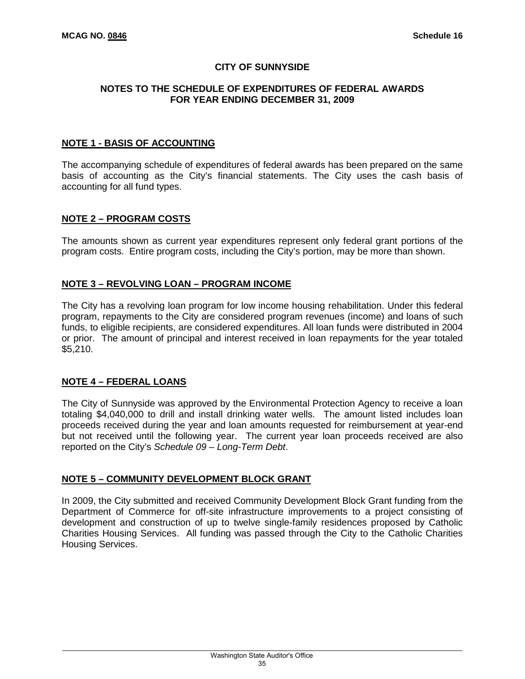#### **NOTES TO THE SCHEDULE OF EXPENDITURES OF FEDERAL AWARDS FOR YEAR ENDING DECEMBER 31, 2009**

#### **NOTE 1 - BASIS OF ACCOUNTING**

The accompanying schedule of expenditures of federal awards has been prepared on the same basis of accounting as the City's financial statements. The City uses the cash basis of accounting for all fund types.

#### **NOTE 2 – PROGRAM COSTS**

The amounts shown as current year expenditures represent only federal grant portions of the program costs. Entire program costs, including the City's portion, may be more than shown.

#### **NOTE 3 – REVOLVING LOAN – PROGRAM INCOME**

The City has a revolving loan program for low income housing rehabilitation. Under this federal program, repayments to the City are considered program revenues (income) and loans of such funds, to eligible recipients, are considered expenditures. All loan funds were distributed in 2004 or prior. The amount of principal and interest received in loan repayments for the year totaled \$5,210.

#### **NOTE 4 – FEDERAL LOANS**

The City of Sunnyside was approved by the Environmental Protection Agency to receive a loan totaling \$4,040,000 to drill and install drinking water wells. The amount listed includes loan proceeds received during the year and loan amounts requested for reimbursement at year-end but not received until the following year. The current year loan proceeds received are also reported on the City's *Schedule 09 – Long-Term Debt*.

#### **NOTE 5 – COMMUNITY DEVELOPMENT BLOCK GRANT**

In 2009, the City submitted and received Community Development Block Grant funding from the Department of Commerce for off-site infrastructure improvements to a project consisting of development and construction of up to twelve single-family residences proposed by Catholic Charities Housing Services. All funding was passed through the City to the Catholic Charities Housing Services.